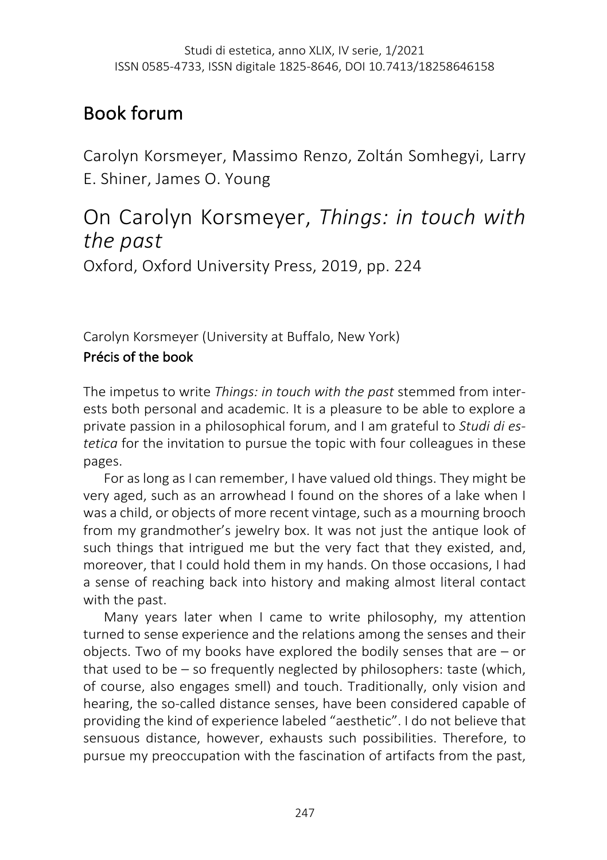# Book forum

Carolyn Korsmeyer, Massimo Renzo, Zoltán Somhegyi, Larry E. Shiner, James O. Young

# On Carolyn Korsmeyer, *Things: in touch with the past*

Oxford, Oxford University Press, 2019, pp. 224

Carolyn Korsmeyer (University at Buffalo, New York)

# Précis of the book

The impetus to write *Things: in touch with the past* stemmed from interests both personal and academic. It is a pleasure to be able to explore a private passion in a philosophical forum, and I am grateful to *Studi di estetica* for the invitation to pursue the topic with four colleagues in these pages.

For as long as I can remember, I have valued old things. They might be very aged, such as an arrowhead I found on the shores of a lake when I was a child, or objects of more recent vintage, such as a mourning brooch from my grandmother's jewelry box. It was not just the antique look of such things that intrigued me but the very fact that they existed, and, moreover, that I could hold them in my hands. On those occasions, I had a sense of reaching back into history and making almost literal contact with the past.

Many years later when I came to write philosophy, my attention turned to sense experience and the relations among the senses and their objects. Two of my books have explored the bodily senses that are – or that used to be – so frequently neglected by philosophers: taste (which, of course, also engages smell) and touch. Traditionally, only vision and hearing, the so-called distance senses, have been considered capable of providing the kind of experience labeled "aesthetic". I do not believe that sensuous distance, however, exhausts such possibilities. Therefore, to pursue my preoccupation with the fascination of artifacts from the past,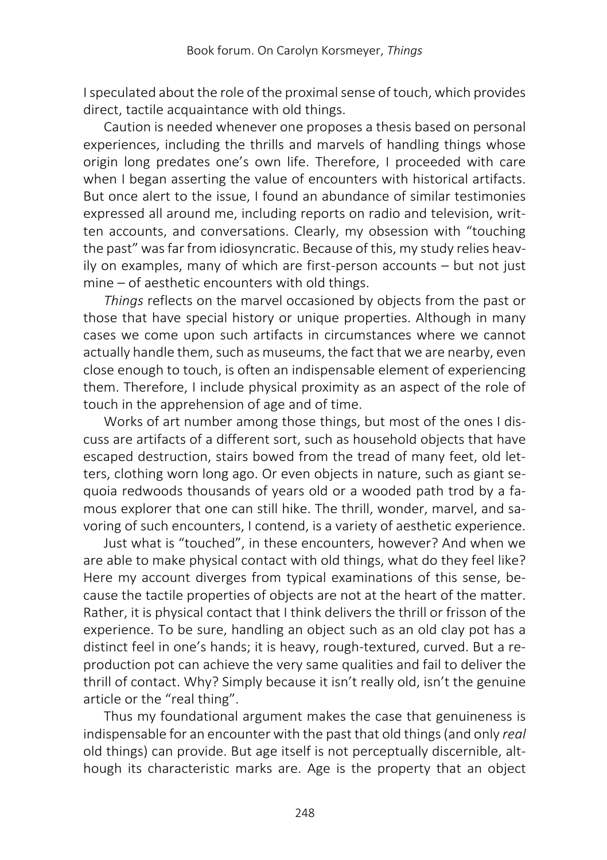I speculated about the role of the proximal sense of touch, which provides direct, tactile acquaintance with old things.

Caution is needed whenever one proposes a thesis based on personal experiences, including the thrills and marvels of handling things whose origin long predates one's own life. Therefore, I proceeded with care when I began asserting the value of encounters with historical artifacts. But once alert to the issue, I found an abundance of similar testimonies expressed all around me, including reports on radio and television, written accounts, and conversations. Clearly, my obsession with "touching the past" was far from idiosyncratic. Because of this, my study relies heavily on examples, many of which are first-person accounts – but not just mine – of aesthetic encounters with old things.

*Things* reflects on the marvel occasioned by objects from the past or those that have special history or unique properties. Although in many cases we come upon such artifacts in circumstances where we cannot actually handle them, such as museums, the fact that we are nearby, even close enough to touch, is often an indispensable element of experiencing them. Therefore, I include physical proximity as an aspect of the role of touch in the apprehension of age and of time.

Works of art number among those things, but most of the ones I discuss are artifacts of a different sort, such as household objects that have escaped destruction, stairs bowed from the tread of many feet, old letters, clothing worn long ago. Or even objects in nature, such as giant sequoia redwoods thousands of years old or a wooded path trod by a famous explorer that one can still hike. The thrill, wonder, marvel, and savoring of such encounters, I contend, is a variety of aesthetic experience.

Just what is "touched", in these encounters, however? And when we are able to make physical contact with old things, what do they feel like? Here my account diverges from typical examinations of this sense, because the tactile properties of objects are not at the heart of the matter. Rather, it is physical contact that I think delivers the thrill or frisson of the experience. To be sure, handling an object such as an old clay pot has a distinct feel in one's hands; it is heavy, rough-textured, curved. But a reproduction pot can achieve the very same qualities and fail to deliver the thrill of contact. Why? Simply because it isn't really old, isn't the genuine article or the "real thing".

Thus my foundational argument makes the case that genuineness is indispensable for an encounter with the past that old things (and only *real*  old things) can provide. But age itself is not perceptually discernible, although its characteristic marks are. Age is the property that an object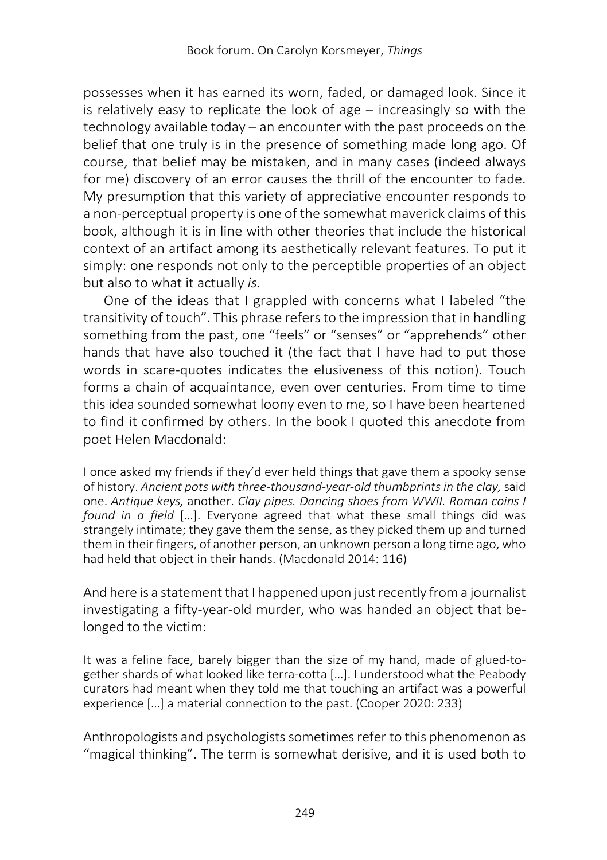possesses when it has earned its worn, faded, or damaged look. Since it is relatively easy to replicate the look of age – increasingly so with the technology available today – an encounter with the past proceeds on the belief that one truly is in the presence of something made long ago. Of course, that belief may be mistaken, and in many cases (indeed always for me) discovery of an error causes the thrill of the encounter to fade. My presumption that this variety of appreciative encounter responds to a non-perceptual property is one of the somewhat maverick claims of this book, although it is in line with other theories that include the historical context of an artifact among its aesthetically relevant features. To put it simply: one responds not only to the perceptible properties of an object but also to what it actually *is.*

One of the ideas that I grappled with concerns what I labeled "the transitivity of touch". This phrase refers to the impression that in handling something from the past, one "feels" or "senses" or "apprehends" other hands that have also touched it (the fact that I have had to put those words in scare-quotes indicates the elusiveness of this notion). Touch forms a chain of acquaintance, even over centuries. From time to time this idea sounded somewhat loony even to me, so I have been heartened to find it confirmed by others. In the book I quoted this anecdote from poet Helen Macdonald:

I once asked my friends if they'd ever held things that gave them a spooky sense of history. *Ancient pots with three-thousand-year-old thumbprints in the clay,*said one. *Antique keys,* another. *Clay pipes. Dancing shoes from WWII. Roman coins I found in a field* […]. Everyone agreed that what these small things did was strangely intimate; they gave them the sense, as they picked them up and turned them in their fingers, of another person, an unknown person a long time ago, who had held that object in their hands. (Macdonald 2014: 116)

And here is a statement that I happened upon just recently from a journalist investigating a fifty-year-old murder, who was handed an object that belonged to the victim:

It was a feline face, barely bigger than the size of my hand, made of glued-together shards of what looked like terra-cotta […]. I understood what the Peabody curators had meant when they told me that touching an artifact was a powerful experience […] a material connection to the past. (Cooper 2020: 233)

Anthropologists and psychologists sometimes refer to this phenomenon as "magical thinking". The term is somewhat derisive, and it is used both to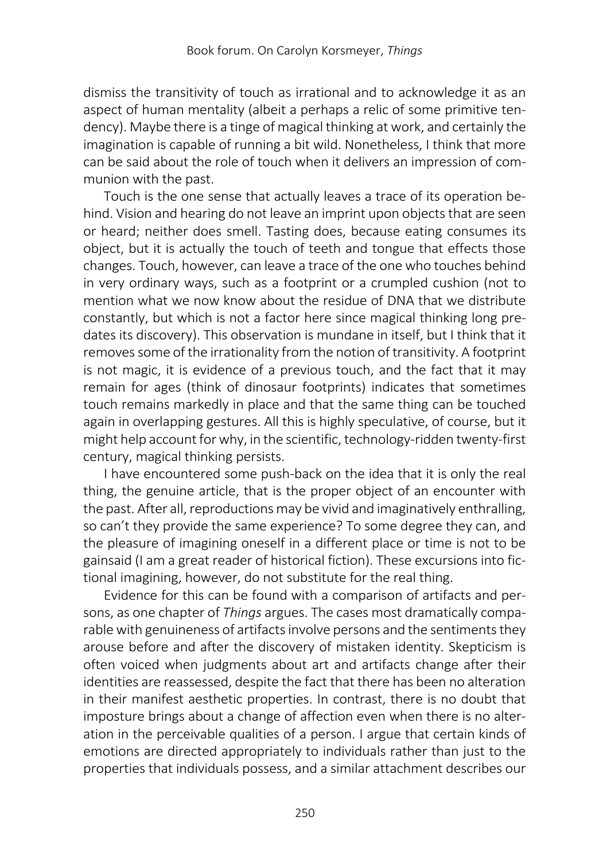dismiss the transitivity of touch as irrational and to acknowledge it as an aspect of human mentality (albeit a perhaps a relic of some primitive tendency). Maybe there is a tinge of magical thinking at work, and certainly the imagination is capable of running a bit wild. Nonetheless, I think that more can be said about the role of touch when it delivers an impression of communion with the past.

Touch is the one sense that actually leaves a trace of its operation behind. Vision and hearing do not leave an imprint upon objects that are seen or heard; neither does smell. Tasting does, because eating consumes its object, but it is actually the touch of teeth and tongue that effects those changes. Touch, however, can leave a trace of the one who touches behind in very ordinary ways, such as a footprint or a crumpled cushion (not to mention what we now know about the residue of DNA that we distribute constantly, but which is not a factor here since magical thinking long predates its discovery). This observation is mundane in itself, but I think that it removes some of the irrationality from the notion of transitivity. A footprint is not magic, it is evidence of a previous touch, and the fact that it may remain for ages (think of dinosaur footprints) indicates that sometimes touch remains markedly in place and that the same thing can be touched again in overlapping gestures. All this is highly speculative, of course, but it might help account for why, in the scientific, technology-ridden twenty-first century, magical thinking persists.

I have encountered some push-back on the idea that it is only the real thing, the genuine article, that is the proper object of an encounter with the past. After all, reproductions may be vivid and imaginatively enthralling, so can't they provide the same experience? To some degree they can, and the pleasure of imagining oneself in a different place or time is not to be gainsaid (I am a great reader of historical fiction). These excursions into fictional imagining, however, do not substitute for the real thing.

Evidence for this can be found with a comparison of artifacts and persons, as one chapter of *Things* argues. The cases most dramatically comparable with genuineness of artifacts involve persons and the sentiments they arouse before and after the discovery of mistaken identity. Skepticism is often voiced when judgments about art and artifacts change after their identities are reassessed, despite the fact that there has been no alteration in their manifest aesthetic properties. In contrast, there is no doubt that imposture brings about a change of affection even when there is no alteration in the perceivable qualities of a person. I argue that certain kinds of emotions are directed appropriately to individuals rather than just to the properties that individuals possess, and a similar attachment describes our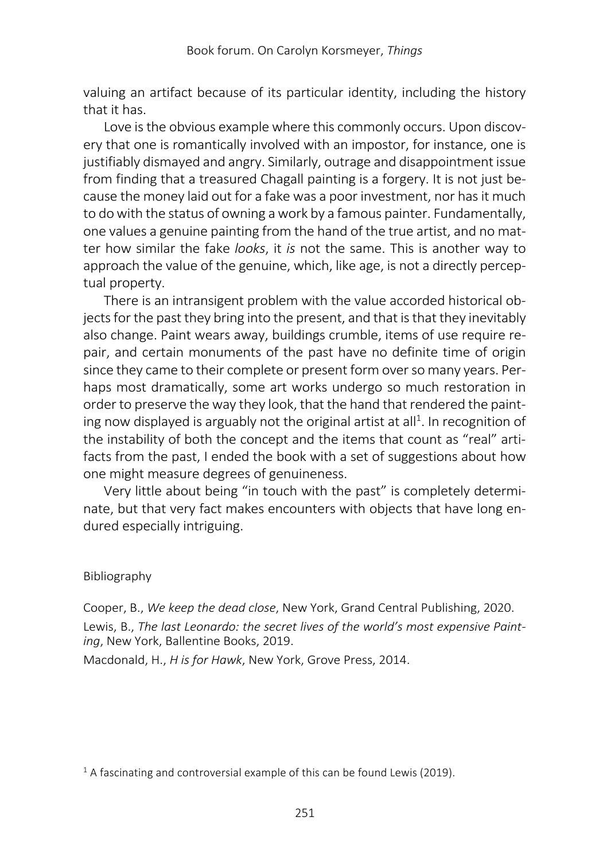valuing an artifact because of its particular identity, including the history that it has.

Love is the obvious example where this commonly occurs. Upon discovery that one is romantically involved with an impostor, for instance, one is justifiably dismayed and angry. Similarly, outrage and disappointment issue from finding that a treasured Chagall painting is a forgery. It is not just because the money laid out for a fake was a poor investment, nor has it much to do with the status of owning a work by a famous painter. Fundamentally, one values a genuine painting from the hand of the true artist, and no matter how similar the fake *looks*, it *is* not the same. This is another way to approach the value of the genuine, which, like age, is not a directly perceptual property.

There is an intransigent problem with the value accorded historical objects for the past they bring into the present, and that is that they inevitably also change. Paint wears away, buildings crumble, items of use require repair, and certain monuments of the past have no definite time of origin since they came to their complete or present form over so many years. Perhaps most dramatically, some art works undergo so much restoration in order to preserve the way they look, that the hand that rendered the painting now displayed is arguably not the original artist at all<sup>1</sup>. In recognition of the instability of both the concept and the items that count as "real" artifacts from the past, I ended the book with a set of suggestions about how one might measure degrees of genuineness.

Very little about being "in touch with the past" is completely determinate, but that very fact makes encounters with objects that have long endured especially intriguing.

## Bibliography

Cooper, B., *We keep the dead close*, New York, Grand Central Publishing, 2020.

Lewis, B., *The last Leonardo: the secret lives of the world's most expensive Painting*, New York, Ballentine Books, 2019.

Macdonald, H., *H is for Hawk*, New York, Grove Press, 2014.

<sup>1</sup> A fascinating and controversial example of this can be found Lewis (2019).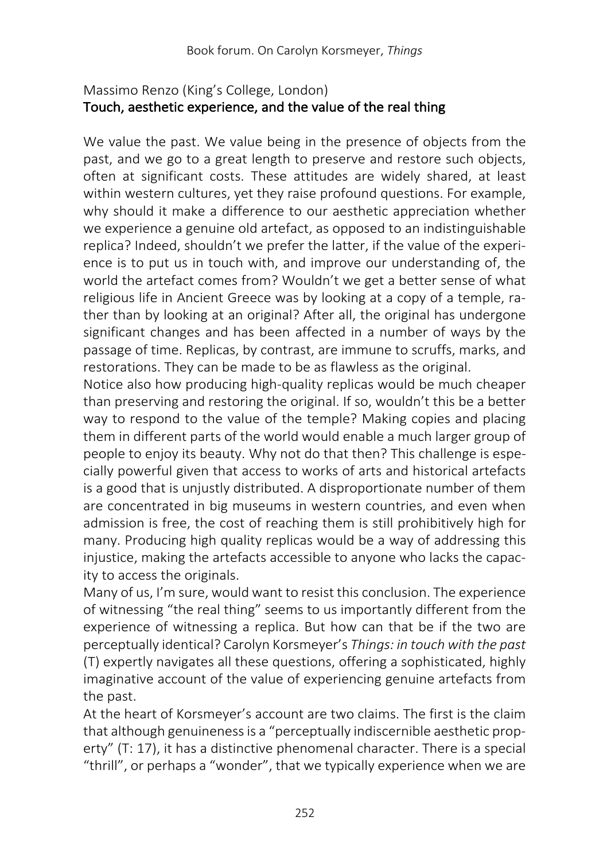# Massimo Renzo (King's College, London) Touch, aesthetic experience, and the value of the real thing

We value the past. We value being in the presence of objects from the past, and we go to a great length to preserve and restore such objects, often at significant costs. These attitudes are widely shared, at least within western cultures, yet they raise profound questions. For example, why should it make a difference to our aesthetic appreciation whether we experience a genuine old artefact, as opposed to an indistinguishable replica? Indeed, shouldn't we prefer the latter, if the value of the experience is to put us in touch with, and improve our understanding of, the world the artefact comes from? Wouldn't we get a better sense of what religious life in Ancient Greece was by looking at a copy of a temple, rather than by looking at an original? After all, the original has undergone significant changes and has been affected in a number of ways by the passage of time. Replicas, by contrast, are immune to scruffs, marks, and restorations. They can be made to be as flawless as the original.

Notice also how producing high-quality replicas would be much cheaper than preserving and restoring the original. If so, wouldn't this be a better way to respond to the value of the temple? Making copies and placing them in different parts of the world would enable a much larger group of people to enjoy its beauty. Why not do that then? This challenge is especially powerful given that access to works of arts and historical artefacts is a good that is unjustly distributed. A disproportionate number of them are concentrated in big museums in western countries, and even when admission is free, the cost of reaching them is still prohibitively high for many. Producing high quality replicas would be a way of addressing this injustice, making the artefacts accessible to anyone who lacks the capacity to access the originals.

Many of us, I'm sure, would want to resist this conclusion. The experience of witnessing "the real thing" seems to us importantly different from the experience of witnessing a replica. But how can that be if the two are perceptually identical? Carolyn Korsmeyer's *Things: in touch with the past* (T) expertly navigates all these questions, offering a sophisticated, highly imaginative account of the value of experiencing genuine artefacts from the past.

At the heart of Korsmeyer's account are two claims. The first is the claim that although genuineness is a "perceptually indiscernible aesthetic property" (T: 17), it has a distinctive phenomenal character. There is a special "thrill", or perhaps a "wonder", that we typically experience when we are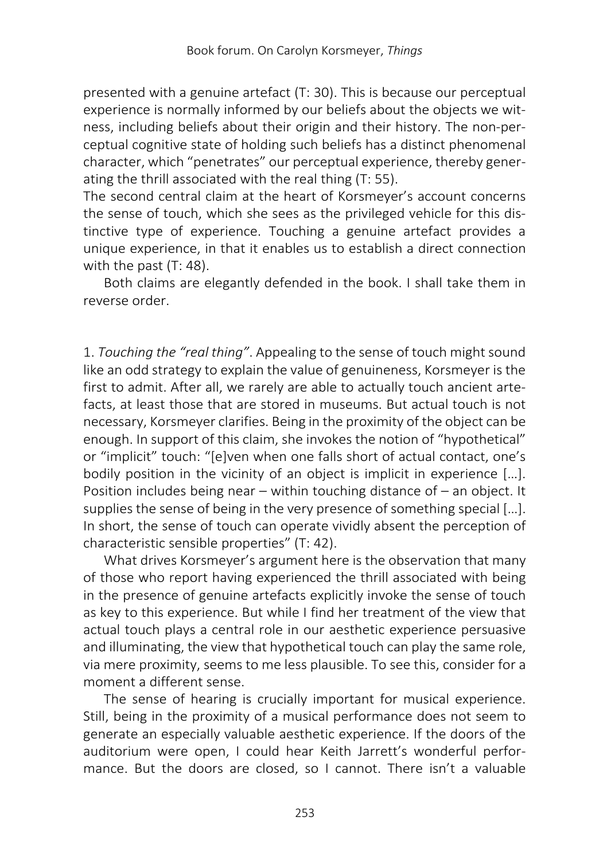presented with a genuine artefact (T: 30). This is because our perceptual experience is normally informed by our beliefs about the objects we witness, including beliefs about their origin and their history. The non-perceptual cognitive state of holding such beliefs has a distinct phenomenal character, which "penetrates" our perceptual experience, thereby generating the thrill associated with the real thing (T: 55).

The second central claim at the heart of Korsmeyer's account concerns the sense of touch, which she sees as the privileged vehicle for this distinctive type of experience. Touching a genuine artefact provides a unique experience, in that it enables us to establish a direct connection with the past (T: 48).

Both claims are elegantly defended in the book. I shall take them in reverse order.

1. *Touching the "real thing"*. Appealing to the sense of touch might sound like an odd strategy to explain the value of genuineness, Korsmeyer is the first to admit. After all, we rarely are able to actually touch ancient artefacts, at least those that are stored in museums. But actual touch is not necessary, Korsmeyer clarifies. Being in the proximity of the object can be enough. In support of this claim, she invokes the notion of "hypothetical" or "implicit" touch: "[e]ven when one falls short of actual contact, one's bodily position in the vicinity of an object is implicit in experience […]. Position includes being near – within touching distance of – an object. It supplies the sense of being in the very presence of something special […]. In short, the sense of touch can operate vividly absent the perception of characteristic sensible properties" (T: 42).

What drives Korsmeyer's argument here is the observation that many of those who report having experienced the thrill associated with being in the presence of genuine artefacts explicitly invoke the sense of touch as key to this experience. But while I find her treatment of the view that actual touch plays a central role in our aesthetic experience persuasive and illuminating, the view that hypothetical touch can play the same role, via mere proximity, seems to me less plausible. To see this, consider for a moment a different sense.

The sense of hearing is crucially important for musical experience. Still, being in the proximity of a musical performance does not seem to generate an especially valuable aesthetic experience. If the doors of the auditorium were open, I could hear Keith Jarrett's wonderful performance. But the doors are closed, so I cannot. There isn't a valuable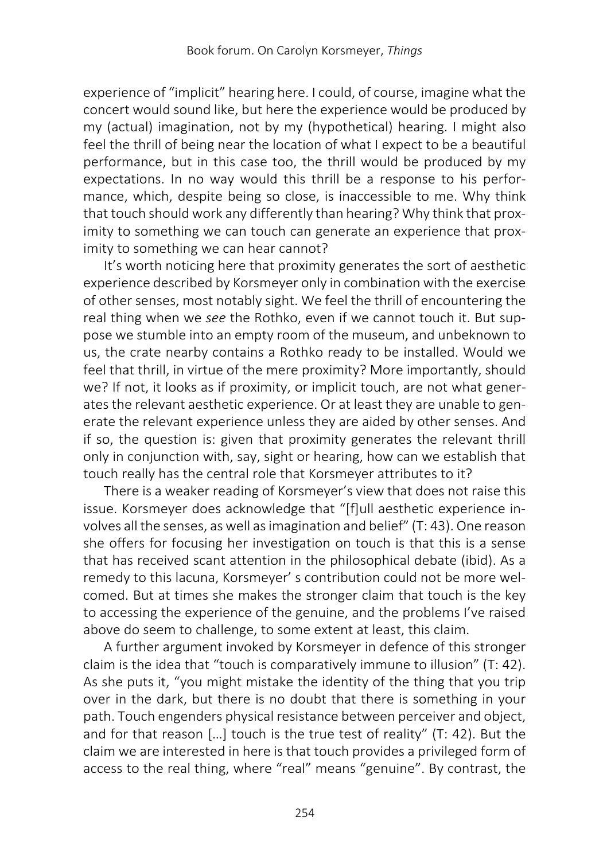experience of "implicit" hearing here. I could, of course, imagine what the concert would sound like, but here the experience would be produced by my (actual) imagination, not by my (hypothetical) hearing. I might also feel the thrill of being near the location of what I expect to be a beautiful performance, but in this case too, the thrill would be produced by my expectations. In no way would this thrill be a response to his performance, which, despite being so close, is inaccessible to me. Why think that touch should work any differently than hearing? Why think that proximity to something we can touch can generate an experience that proximity to something we can hear cannot?

It's worth noticing here that proximity generates the sort of aesthetic experience described by Korsmeyer only in combination with the exercise of other senses, most notably sight. We feel the thrill of encountering the real thing when we *see* the Rothko, even if we cannot touch it. But suppose we stumble into an empty room of the museum, and unbeknown to us, the crate nearby contains a Rothko ready to be installed. Would we feel that thrill, in virtue of the mere proximity? More importantly, should we? If not, it looks as if proximity, or implicit touch, are not what generates the relevant aesthetic experience. Or at least they are unable to generate the relevant experience unless they are aided by other senses. And if so, the question is: given that proximity generates the relevant thrill only in conjunction with, say, sight or hearing, how can we establish that touch really has the central role that Korsmeyer attributes to it?

There is a weaker reading of Korsmeyer's view that does not raise this issue. Korsmeyer does acknowledge that "[f]ull aesthetic experience involves all the senses, as well as imagination and belief" (T: 43). One reason she offers for focusing her investigation on touch is that this is a sense that has received scant attention in the philosophical debate (ibid). As a remedy to this lacuna, Korsmeyer' s contribution could not be more welcomed. But at times she makes the stronger claim that touch is the key to accessing the experience of the genuine, and the problems I've raised above do seem to challenge, to some extent at least, this claim.

A further argument invoked by Korsmeyer in defence of this stronger claim is the idea that "touch is comparatively immune to illusion" (T: 42). As she puts it, "you might mistake the identity of the thing that you trip over in the dark, but there is no doubt that there is something in your path. Touch engenders physical resistance between perceiver and object, and for that reason […] touch is the true test of reality" (T: 42). But the claim we are interested in here is that touch provides a privileged form of access to the real thing, where "real" means "genuine". By contrast, the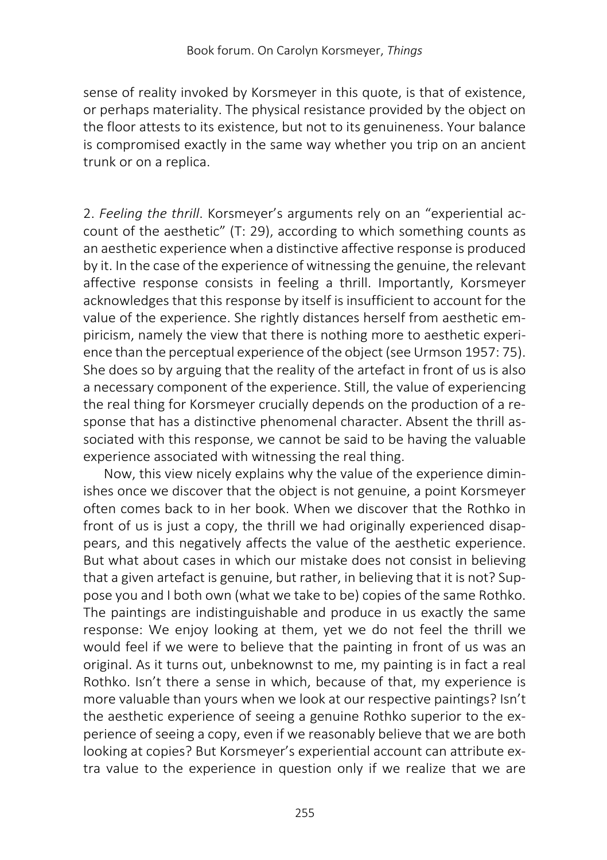sense of reality invoked by Korsmeyer in this quote, is that of existence, or perhaps materiality. The physical resistance provided by the object on the floor attests to its existence, but not to its genuineness. Your balance is compromised exactly in the same way whether you trip on an ancient trunk or on a replica.

2. *Feeling the thrill*. Korsmeyer's arguments rely on an "experiential account of the aesthetic" (T: 29), according to which something counts as an aesthetic experience when a distinctive affective response is produced by it. In the case of the experience of witnessing the genuine, the relevant affective response consists in feeling a thrill. Importantly, Korsmeyer acknowledges that this response by itself is insufficient to account for the value of the experience. She rightly distances herself from aesthetic empiricism, namely the view that there is nothing more to aesthetic experience than the perceptual experience of the object (see Urmson 1957: 75). She does so by arguing that the reality of the artefact in front of us is also a necessary component of the experience. Still, the value of experiencing the real thing for Korsmeyer crucially depends on the production of a response that has a distinctive phenomenal character. Absent the thrill associated with this response, we cannot be said to be having the valuable experience associated with witnessing the real thing.

Now, this view nicely explains why the value of the experience diminishes once we discover that the object is not genuine, a point Korsmeyer often comes back to in her book. When we discover that the Rothko in front of us is just a copy, the thrill we had originally experienced disappears, and this negatively affects the value of the aesthetic experience. But what about cases in which our mistake does not consist in believing that a given artefact is genuine, but rather, in believing that it is not? Suppose you and I both own (what we take to be) copies of the same Rothko. The paintings are indistinguishable and produce in us exactly the same response: We enjoy looking at them, yet we do not feel the thrill we would feel if we were to believe that the painting in front of us was an original. As it turns out, unbeknownst to me, my painting is in fact a real Rothko. Isn't there a sense in which, because of that, my experience is more valuable than yours when we look at our respective paintings? Isn't the aesthetic experience of seeing a genuine Rothko superior to the experience of seeing a copy, even if we reasonably believe that we are both looking at copies? But Korsmeyer's experiential account can attribute extra value to the experience in question only if we realize that we are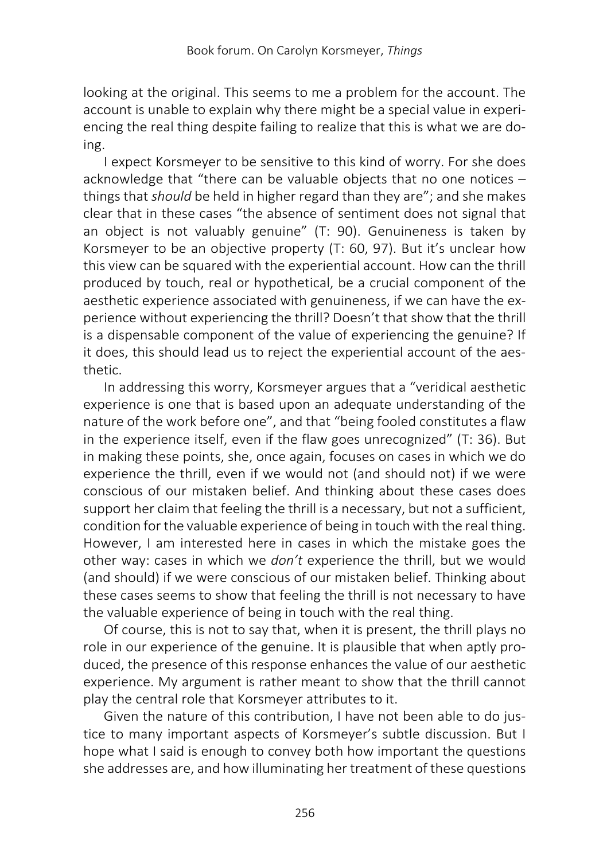looking at the original. This seems to me a problem for the account. The account is unable to explain why there might be a special value in experiencing the real thing despite failing to realize that this is what we are doing.

I expect Korsmeyer to be sensitive to this kind of worry. For she does acknowledge that "there can be valuable objects that no one notices – things that *should* be held in higher regard than they are"; and she makes clear that in these cases "the absence of sentiment does not signal that an object is not valuably genuine" (T: 90). Genuineness is taken by Korsmeyer to be an objective property (T: 60, 97). But it's unclear how this view can be squared with the experiential account. How can the thrill produced by touch, real or hypothetical, be a crucial component of the aesthetic experience associated with genuineness, if we can have the experience without experiencing the thrill? Doesn't that show that the thrill is a dispensable component of the value of experiencing the genuine? If it does, this should lead us to reject the experiential account of the aesthetic.

In addressing this worry, Korsmeyer argues that a "veridical aesthetic experience is one that is based upon an adequate understanding of the nature of the work before one", and that "being fooled constitutes a flaw in the experience itself, even if the flaw goes unrecognized" (T: 36). But in making these points, she, once again, focuses on cases in which we do experience the thrill, even if we would not (and should not) if we were conscious of our mistaken belief. And thinking about these cases does support her claim that feeling the thrill is a necessary, but not a sufficient, condition for the valuable experience of being in touch with the real thing. However, I am interested here in cases in which the mistake goes the other way: cases in which we *don't* experience the thrill, but we would (and should) if we were conscious of our mistaken belief. Thinking about these cases seems to show that feeling the thrill is not necessary to have the valuable experience of being in touch with the real thing.

Of course, this is not to say that, when it is present, the thrill plays no role in our experience of the genuine. It is plausible that when aptly produced, the presence of this response enhances the value of our aesthetic experience. My argument is rather meant to show that the thrill cannot play the central role that Korsmeyer attributes to it.

Given the nature of this contribution, I have not been able to do justice to many important aspects of Korsmeyer's subtle discussion. But I hope what I said is enough to convey both how important the questions she addresses are, and how illuminating her treatment of these questions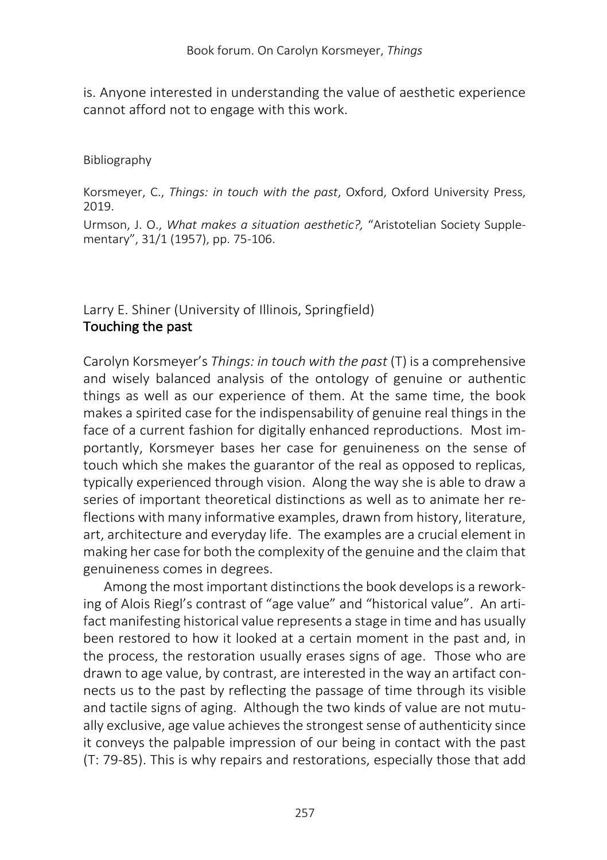is. Anyone interested in understanding the value of aesthetic experience cannot afford not to engage with this work.

### Bibliography

Korsmeyer, C., *Things: in touch with the past*, Oxford, Oxford University Press, 2019.

Urmson, J. O., *What makes a situation aesthetic?,* "Aristotelian Society Supplementary", 31/1 (1957), pp. 75-106.

# Larry E. Shiner (University of Illinois, Springfield) Touching the past

Carolyn Korsmeyer's *Things: in touch with the past* (T) is a comprehensive and wisely balanced analysis of the ontology of genuine or authentic things as well as our experience of them. At the same time, the book makes a spirited case for the indispensability of genuine real things in the face of a current fashion for digitally enhanced reproductions. Most importantly, Korsmeyer bases her case for genuineness on the sense of touch which she makes the guarantor of the real as opposed to replicas, typically experienced through vision. Along the way she is able to draw a series of important theoretical distinctions as well as to animate her reflections with many informative examples, drawn from history, literature, art, architecture and everyday life. The examples are a crucial element in making her case for both the complexity of the genuine and the claim that genuineness comes in degrees.

Among the most important distinctions the book develops is a reworking of Alois Riegl's contrast of "age value" and "historical value". An artifact manifesting historical value represents a stage in time and has usually been restored to how it looked at a certain moment in the past and, in the process, the restoration usually erases signs of age. Those who are drawn to age value, by contrast, are interested in the way an artifact connects us to the past by reflecting the passage of time through its visible and tactile signs of aging. Although the two kinds of value are not mutually exclusive, age value achieves the strongest sense of authenticity since it conveys the palpable impression of our being in contact with the past (T: 79-85). This is why repairs and restorations, especially those that add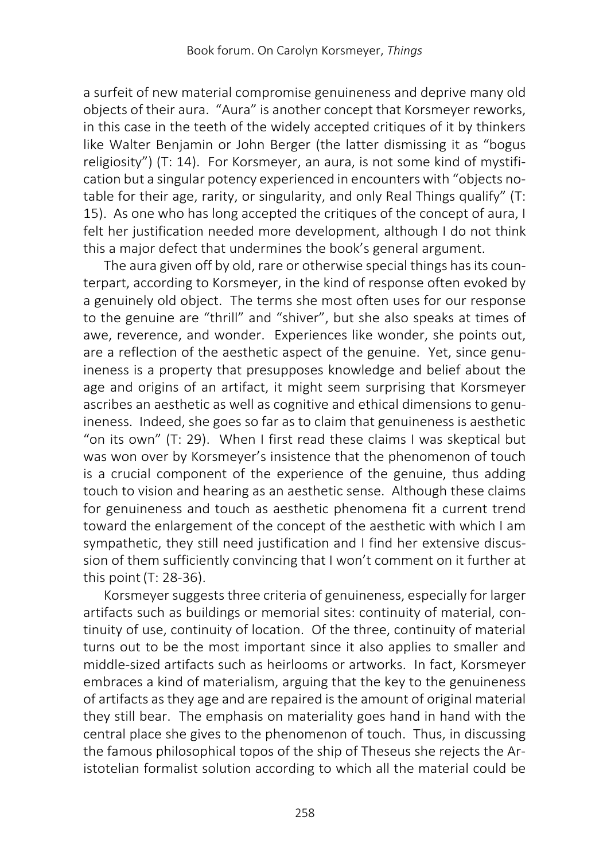a surfeit of new material compromise genuineness and deprive many old objects of their aura. "Aura" is another concept that Korsmeyer reworks, in this case in the teeth of the widely accepted critiques of it by thinkers like Walter Benjamin or John Berger (the latter dismissing it as "bogus religiosity") (T: 14). For Korsmeyer, an aura, is not some kind of mystification but a singular potency experienced in encounters with "objects notable for their age, rarity, or singularity, and only Real Things qualify" (T: 15). As one who has long accepted the critiques of the concept of aura, I felt her justification needed more development, although I do not think this a major defect that undermines the book's general argument.

The aura given off by old, rare or otherwise special things has its counterpart, according to Korsmeyer, in the kind of response often evoked by a genuinely old object. The terms she most often uses for our response to the genuine are "thrill" and "shiver", but she also speaks at times of awe, reverence, and wonder. Experiences like wonder, she points out, are a reflection of the aesthetic aspect of the genuine. Yet, since genuineness is a property that presupposes knowledge and belief about the age and origins of an artifact, it might seem surprising that Korsmeyer ascribes an aesthetic as well as cognitive and ethical dimensions to genuineness. Indeed, she goes so far as to claim that genuineness is aesthetic "on its own" (T: 29). When I first read these claims I was skeptical but was won over by Korsmeyer's insistence that the phenomenon of touch is a crucial component of the experience of the genuine, thus adding touch to vision and hearing as an aesthetic sense. Although these claims for genuineness and touch as aesthetic phenomena fit a current trend toward the enlargement of the concept of the aesthetic with which I am sympathetic, they still need justification and I find her extensive discussion of them sufficiently convincing that I won't comment on it further at this point(T: 28-36).

Korsmeyer suggests three criteria of genuineness, especially for larger artifacts such as buildings or memorial sites: continuity of material, continuity of use, continuity of location. Of the three, continuity of material turns out to be the most important since it also applies to smaller and middle-sized artifacts such as heirlooms or artworks. In fact, Korsmeyer embraces a kind of materialism, arguing that the key to the genuineness of artifacts as they age and are repaired is the amount of original material they still bear. The emphasis on materiality goes hand in hand with the central place she gives to the phenomenon of touch. Thus, in discussing the famous philosophical topos of the ship of Theseus she rejects the Aristotelian formalist solution according to which all the material could be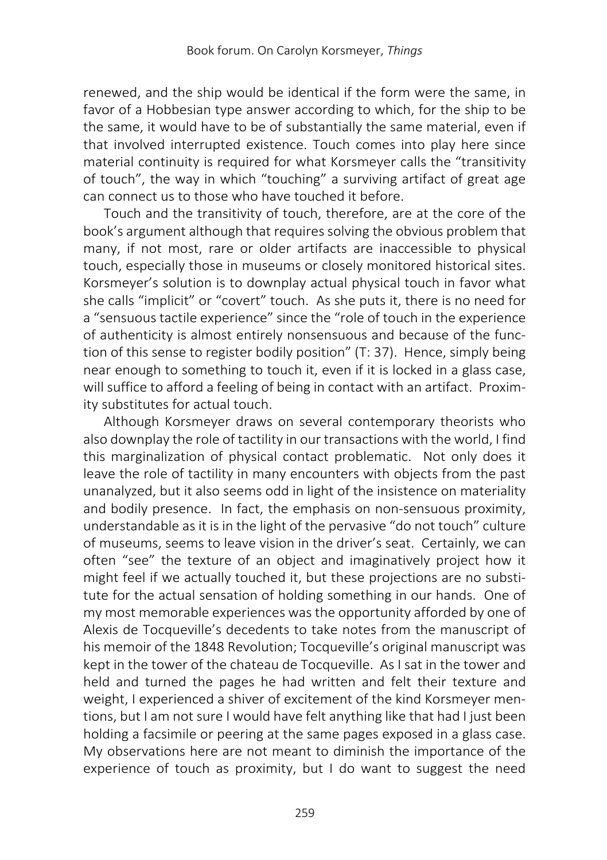renewed, and the ship would be identical if the form were the same, in favor of a Hobbesian type answer according to which, for the ship to be the same, it would have to be of substantially the same material, even if that involved interrupted existence. Touch comes into play here since material continuity is required for what Korsmeyer calls the "transitivity of touch", the way in which "touching" a surviving artifact of great age can connect us to those who have touched it before.

Touch and the transitivity of touch, therefore, are at the core of the book's argument although that requires solving the obvious problem that many, if not most, rare or older artifacts are inaccessible to physical touch, especially those in museums or closely monitored historical sites. Korsmeyer's solution is to downplay actual physical touch in favor what she calls "implicit" or "covert" touch. As she puts it, there is no need for a "sensuous tactile experience" since the "role of touch in the experience of authenticity is almost entirely nonsensuous and because of the function of this sense to register bodily position" (T: 37). Hence, simply being near enough to something to touch it, even if it is locked in a glass case, will suffice to afford a feeling of being in contact with an artifact. Proximity substitutes for actual touch.

Although Korsmeyer draws on several contemporary theorists who also downplay the role of tactility in our transactions with the world, I find this marginalization of physical contact problematic. Not only does it leave the role of tactility in many encounters with objects from the past unanalyzed, but it also seems odd in light of the insistence on materiality and bodily presence. In fact, the emphasis on non-sensuous proximity, understandable as it is in the light of the pervasive "do not touch" culture of museums, seems to leave vision in the driver's seat. Certainly, we can often "see" the texture of an object and imaginatively project how it might feel if we actually touched it, but these projections are no substitute for the actual sensation of holding something in our hands. One of my most memorable experiences was the opportunity afforded by one of Alexis de Tocqueville's decedents to take notes from the manuscript of his memoir of the 1848 Revolution; Tocqueville's original manuscript was kept in the tower of the chateau de Tocqueville. As I sat in the tower and held and turned the pages he had written and felt their texture and weight, I experienced a shiver of excitement of the kind Korsmeyer mentions, but I am not sure I would have felt anything like that had I just been holding a facsimile or peering at the same pages exposed in a glass case. My observations here are not meant to diminish the importance of the experience of touch as proximity, but I do want to suggest the need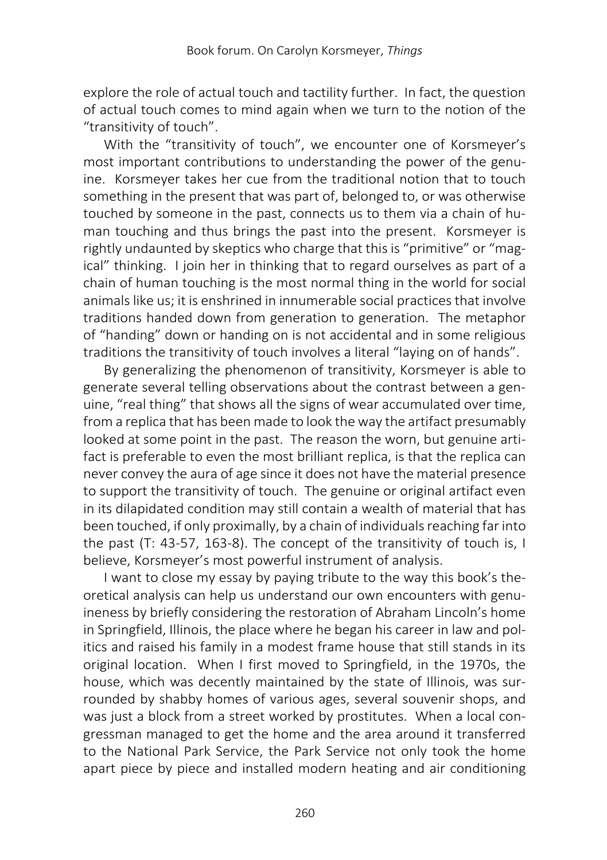explore the role of actual touch and tactility further. In fact, the question of actual touch comes to mind again when we turn to the notion of the "transitivity of touch".

With the "transitivity of touch", we encounter one of Korsmeyer's most important contributions to understanding the power of the genuine. Korsmeyer takes her cue from the traditional notion that to touch something in the present that was part of, belonged to, or was otherwise touched by someone in the past, connects us to them via a chain of human touching and thus brings the past into the present. Korsmeyer is rightly undaunted by skeptics who charge that this is "primitive" or "magical" thinking. I join her in thinking that to regard ourselves as part of a chain of human touching is the most normal thing in the world for social animals like us; it is enshrined in innumerable social practices that involve traditions handed down from generation to generation. The metaphor of "handing" down or handing on is not accidental and in some religious traditions the transitivity of touch involves a literal "laying on of hands".

By generalizing the phenomenon of transitivity, Korsmeyer is able to generate several telling observations about the contrast between a genuine, "real thing" that shows all the signs of wear accumulated over time, from a replica that has been made to look the way the artifact presumably looked at some point in the past. The reason the worn, but genuine artifact is preferable to even the most brilliant replica, is that the replica can never convey the aura of age since it does not have the material presence to support the transitivity of touch. The genuine or original artifact even in its dilapidated condition may still contain a wealth of material that has been touched, if only proximally, by a chain of individuals reaching far into the past (T: 43-57, 163-8). The concept of the transitivity of touch is, I believe, Korsmeyer's most powerful instrument of analysis.

I want to close my essay by paying tribute to the way this book's theoretical analysis can help us understand our own encounters with genuineness by briefly considering the restoration of Abraham Lincoln's home in Springfield, Illinois, the place where he began his career in law and politics and raised his family in a modest frame house that still stands in its original location. When I first moved to Springfield, in the 1970s, the house, which was decently maintained by the state of Illinois, was surrounded by shabby homes of various ages, several souvenir shops, and was just a block from a street worked by prostitutes. When a local congressman managed to get the home and the area around it transferred to the National Park Service, the Park Service not only took the home apart piece by piece and installed modern heating and air conditioning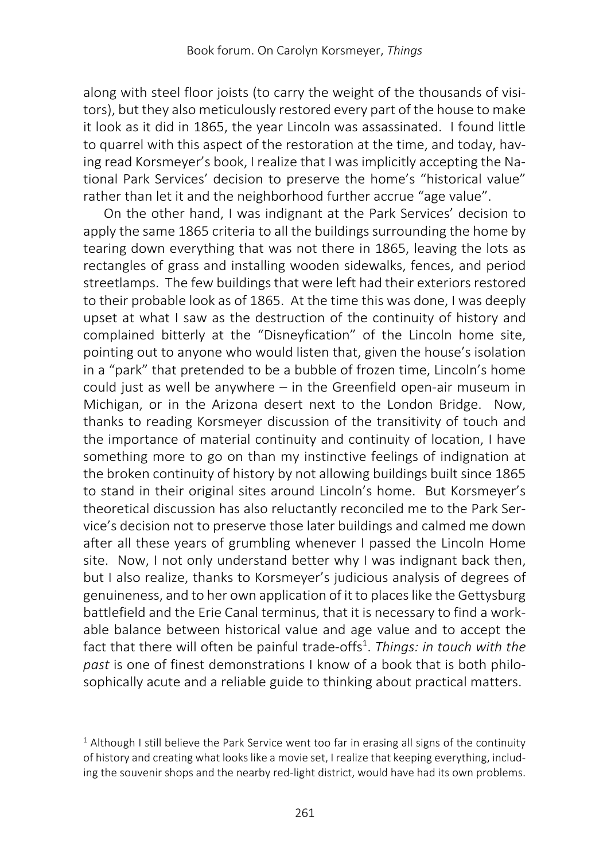along with steel floor joists (to carry the weight of the thousands of visitors), but they also meticulously restored every part of the house to make it look as it did in 1865, the year Lincoln was assassinated. I found little to quarrel with this aspect of the restoration at the time, and today, having read Korsmeyer's book, I realize that I was implicitly accepting the National Park Services' decision to preserve the home's "historical value" rather than let it and the neighborhood further accrue "age value".

On the other hand, I was indignant at the Park Services' decision to apply the same 1865 criteria to all the buildings surrounding the home by tearing down everything that was not there in 1865, leaving the lots as rectangles of grass and installing wooden sidewalks, fences, and period streetlamps. The few buildings that were left had their exteriors restored to their probable look as of 1865. At the time this was done, I was deeply upset at what I saw as the destruction of the continuity of history and complained bitterly at the "Disneyfication" of the Lincoln home site, pointing out to anyone who would listen that, given the house's isolation in a "park" that pretended to be a bubble of frozen time, Lincoln's home could just as well be anywhere – in the Greenfield open-air museum in Michigan, or in the Arizona desert next to the London Bridge. Now, thanks to reading Korsmeyer discussion of the transitivity of touch and the importance of material continuity and continuity of location, I have something more to go on than my instinctive feelings of indignation at the broken continuity of history by not allowing buildings built since 1865 to stand in their original sites around Lincoln's home. But Korsmeyer's theoretical discussion has also reluctantly reconciled me to the Park Service's decision not to preserve those later buildings and calmed me down after all these years of grumbling whenever I passed the Lincoln Home site. Now, I not only understand better why I was indignant back then, but I also realize, thanks to Korsmeyer's judicious analysis of degrees of genuineness, and to her own application of it to places like the Gettysburg battlefield and the Erie Canal terminus, that it is necessary to find a workable balance between historical value and age value and to accept the fact that there will often be painful trade-offs<sup>1</sup>. Things: in touch with the *past* is one of finest demonstrations I know of a book that is both philosophically acute and a reliable guide to thinking about practical matters.

<sup>&</sup>lt;sup>1</sup> Although I still believe the Park Service went too far in erasing all signs of the continuity of history and creating what looks like a movie set, I realize that keeping everything, including the souvenir shops and the nearby red-light district, would have had its own problems.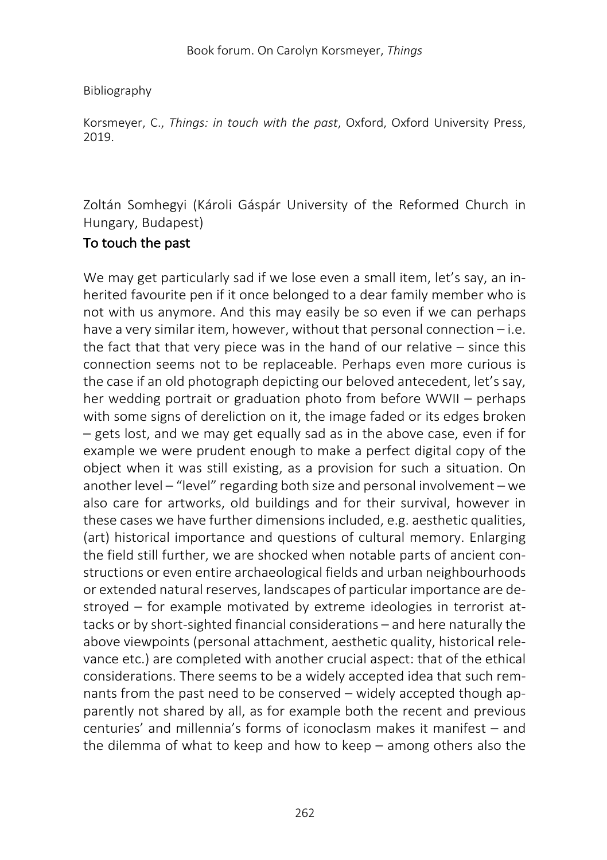# Bibliography

Korsmeyer, C., *Things: in touch with the past*, Oxford, Oxford University Press, 2019.

Zoltán Somhegyi (Károli Gáspár University of the Reformed Church in Hungary, Budapest)

# To touch the past

We may get particularly sad if we lose even a small item, let's say, an inherited favourite pen if it once belonged to a dear family member who is not with us anymore. And this may easily be so even if we can perhaps have a very similar item, however, without that personal connection – i.e. the fact that that very piece was in the hand of our relative – since this connection seems not to be replaceable. Perhaps even more curious is the case if an old photograph depicting our beloved antecedent, let's say, her wedding portrait or graduation photo from before WWII – perhaps with some signs of dereliction on it, the image faded or its edges broken – gets lost, and we may get equally sad as in the above case, even if for example we were prudent enough to make a perfect digital copy of the object when it was still existing, as a provision for such a situation. On another level – "level" regarding both size and personal involvement – we also care for artworks, old buildings and for their survival, however in these cases we have further dimensions included, e.g. aesthetic qualities, (art) historical importance and questions of cultural memory. Enlarging the field still further, we are shocked when notable parts of ancient constructions or even entire archaeological fields and urban neighbourhoods or extended natural reserves, landscapes of particular importance are destroyed – for example motivated by extreme ideologies in terrorist attacks or by short-sighted financial considerations – and here naturally the above viewpoints (personal attachment, aesthetic quality, historical relevance etc.) are completed with another crucial aspect: that of the ethical considerations. There seems to be a widely accepted idea that such remnants from the past need to be conserved – widely accepted though apparently not shared by all, as for example both the recent and previous centuries' and millennia's forms of iconoclasm makes it manifest – and the dilemma of what to keep and how to keep – among others also the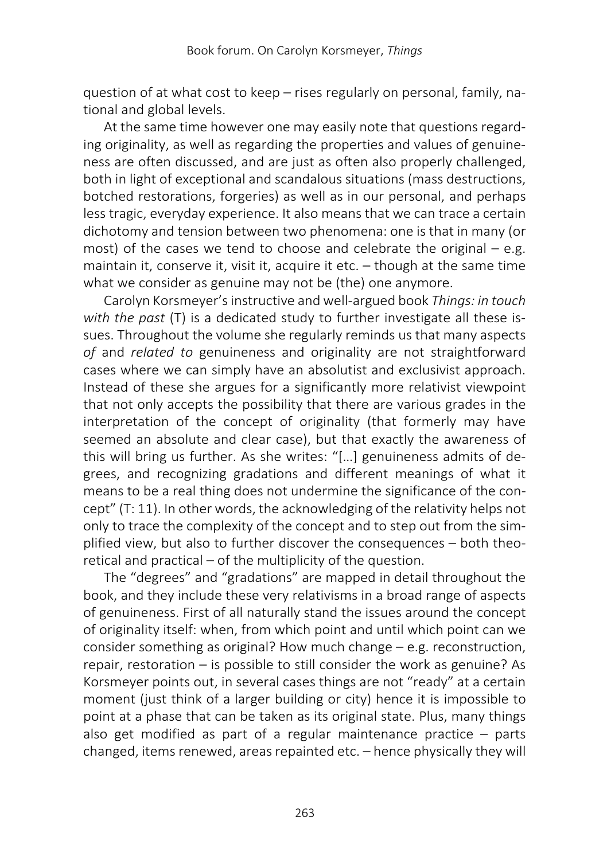question of at what cost to keep – rises regularly on personal, family, national and global levels.

At the same time however one may easily note that questions regarding originality, as well as regarding the properties and values of genuineness are often discussed, and are just as often also properly challenged, both in light of exceptional and scandalous situations (mass destructions, botched restorations, forgeries) as well as in our personal, and perhaps less tragic, everyday experience. It also means that we can trace a certain dichotomy and tension between two phenomena: one is that in many (or most) of the cases we tend to choose and celebrate the original  $-$  e.g. maintain it, conserve it, visit it, acquire it etc. – though at the same time what we consider as genuine may not be (the) one anymore.

Carolyn Korsmeyer's instructive and well-argued book *Things: in touch*  with the past (T) is a dedicated study to further investigate all these issues. Throughout the volume she regularly reminds us that many aspects *of* and *related to* genuineness and originality are not straightforward cases where we can simply have an absolutist and exclusivist approach. Instead of these she argues for a significantly more relativist viewpoint that not only accepts the possibility that there are various grades in the interpretation of the concept of originality (that formerly may have seemed an absolute and clear case), but that exactly the awareness of this will bring us further. As she writes: "[…] genuineness admits of degrees, and recognizing gradations and different meanings of what it means to be a real thing does not undermine the significance of the concept" (T: 11). In other words, the acknowledging of the relativity helps not only to trace the complexity of the concept and to step out from the simplified view, but also to further discover the consequences – both theoretical and practical – of the multiplicity of the question.

The "degrees" and "gradations" are mapped in detail throughout the book, and they include these very relativisms in a broad range of aspects of genuineness. First of all naturally stand the issues around the concept of originality itself: when, from which point and until which point can we consider something as original? How much change – e.g. reconstruction, repair, restoration – is possible to still consider the work as genuine? As Korsmeyer points out, in several cases things are not "ready" at a certain moment (just think of a larger building or city) hence it is impossible to point at a phase that can be taken as its original state. Plus, many things also get modified as part of a regular maintenance practice – parts changed, items renewed, areas repainted etc. – hence physically they will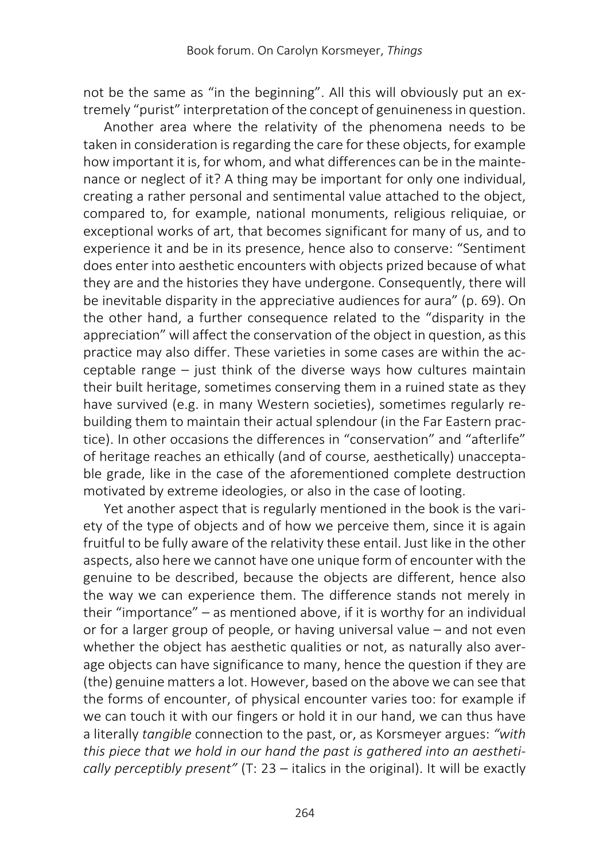not be the same as "in the beginning". All this will obviously put an extremely "purist" interpretation of the concept of genuineness in question.

Another area where the relativity of the phenomena needs to be taken in consideration is regarding the care for these objects, for example how important it is, for whom, and what differences can be in the maintenance or neglect of it? A thing may be important for only one individual, creating a rather personal and sentimental value attached to the object, compared to, for example, national monuments, religious reliquiae, or exceptional works of art, that becomes significant for many of us, and to experience it and be in its presence, hence also to conserve: "Sentiment does enter into aesthetic encounters with objects prized because of what they are and the histories they have undergone. Consequently, there will be inevitable disparity in the appreciative audiences for aura" (p. 69). On the other hand, a further consequence related to the "disparity in the appreciation" will affect the conservation of the object in question, as this practice may also differ. These varieties in some cases are within the acceptable range – just think of the diverse ways how cultures maintain their built heritage, sometimes conserving them in a ruined state as they have survived (e.g. in many Western societies), sometimes regularly rebuilding them to maintain their actual splendour (in the Far Eastern practice). In other occasions the differences in "conservation" and "afterlife" of heritage reaches an ethically (and of course, aesthetically) unacceptable grade, like in the case of the aforementioned complete destruction motivated by extreme ideologies, or also in the case of looting.

Yet another aspect that is regularly mentioned in the book is the variety of the type of objects and of how we perceive them, since it is again fruitful to be fully aware of the relativity these entail. Just like in the other aspects, also here we cannot have one unique form of encounter with the genuine to be described, because the objects are different, hence also the way we can experience them. The difference stands not merely in their "importance" – as mentioned above, if it is worthy for an individual or for a larger group of people, or having universal value – and not even whether the object has aesthetic qualities or not, as naturally also average objects can have significance to many, hence the question if they are (the) genuine matters a lot. However, based on the above we can see that the forms of encounter, of physical encounter varies too: for example if we can touch it with our fingers or hold it in our hand, we can thus have a literally *tangible* connection to the past, or, as Korsmeyer argues: *"with this piece that we hold in our hand the past is gathered into an aesthetically perceptibly present"* (T: 23 – italics in the original). It will be exactly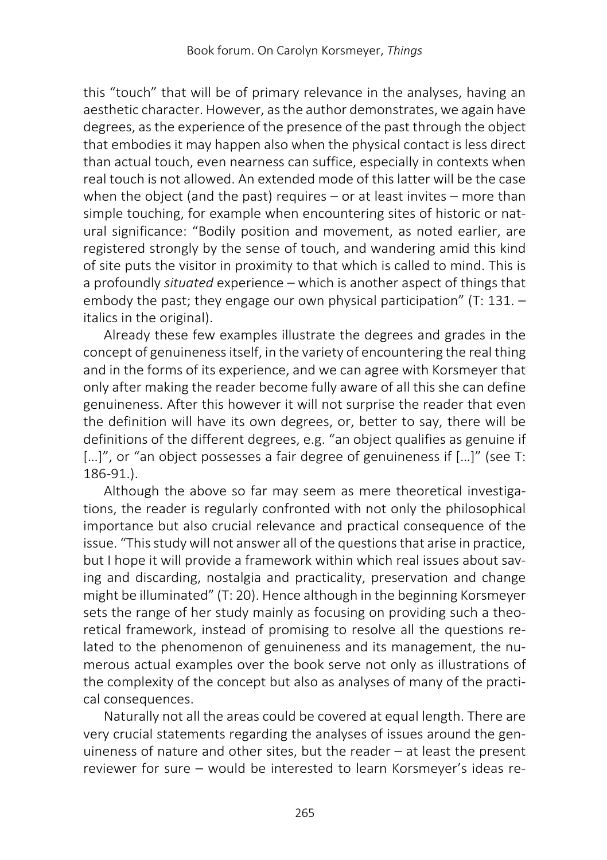this "touch" that will be of primary relevance in the analyses, having an aesthetic character. However, as the author demonstrates, we again have degrees, as the experience of the presence of the past through the object that embodies it may happen also when the physical contact is less direct than actual touch, even nearness can suffice, especially in contexts when real touch is not allowed. An extended mode of this latter will be the case when the object (and the past) requires – or at least invites – more than simple touching, for example when encountering sites of historic or natural significance: "Bodily position and movement, as noted earlier, are registered strongly by the sense of touch, and wandering amid this kind of site puts the visitor in proximity to that which is called to mind. This is a profoundly *situated* experience – which is another aspect of things that embody the past; they engage our own physical participation" (T: 131. – italics in the original).

Already these few examples illustrate the degrees and grades in the concept of genuineness itself, in the variety of encountering the real thing and in the forms of its experience, and we can agree with Korsmeyer that only after making the reader become fully aware of all this she can define genuineness. After this however it will not surprise the reader that even the definition will have its own degrees, or, better to say, there will be definitions of the different degrees, e.g. "an object qualifies as genuine if [...]", or "an object possesses a fair degree of genuineness if [...]" (see T: 186-91.).

Although the above so far may seem as mere theoretical investigations, the reader is regularly confronted with not only the philosophical importance but also crucial relevance and practical consequence of the issue. "This study will not answer all of the questions that arise in practice, but I hope it will provide a framework within which real issues about saving and discarding, nostalgia and practicality, preservation and change might be illuminated" (T: 20). Hence although in the beginning Korsmeyer sets the range of her study mainly as focusing on providing such a theoretical framework, instead of promising to resolve all the questions related to the phenomenon of genuineness and its management, the numerous actual examples over the book serve not only as illustrations of the complexity of the concept but also as analyses of many of the practical consequences.

Naturally not all the areas could be covered at equal length. There are very crucial statements regarding the analyses of issues around the genuineness of nature and other sites, but the reader – at least the present reviewer for sure – would be interested to learn Korsmeyer's ideas re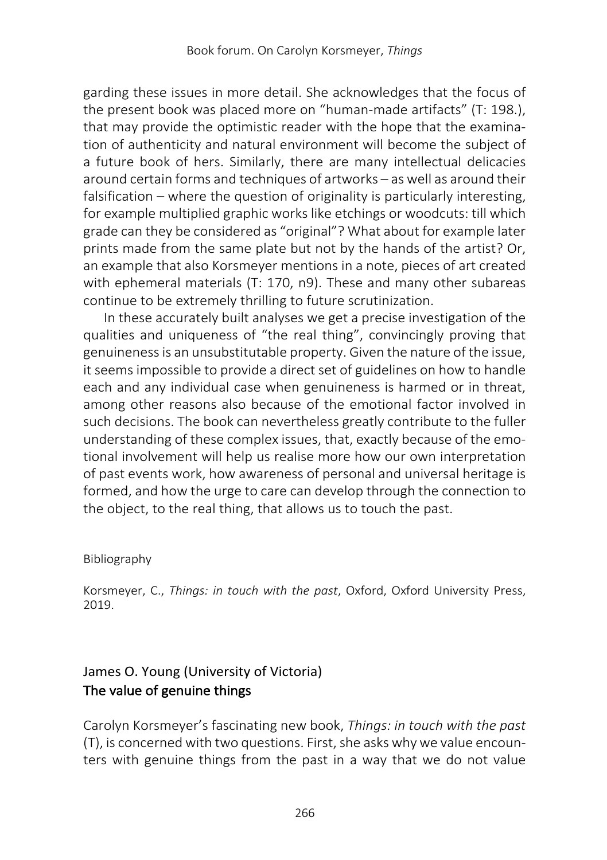garding these issues in more detail. She acknowledges that the focus of the present book was placed more on "human-made artifacts" (T: 198.), that may provide the optimistic reader with the hope that the examination of authenticity and natural environment will become the subject of a future book of hers. Similarly, there are many intellectual delicacies around certain forms and techniques of artworks – as well as around their falsification – where the question of originality is particularly interesting, for example multiplied graphic works like etchings or woodcuts: till which grade can they be considered as "original"? What about for example later prints made from the same plate but not by the hands of the artist? Or, an example that also Korsmeyer mentions in a note, pieces of art created with ephemeral materials (T: 170, n9). These and many other subareas continue to be extremely thrilling to future scrutinization.

In these accurately built analyses we get a precise investigation of the qualities and uniqueness of "the real thing", convincingly proving that genuineness is an unsubstitutable property. Given the nature of the issue, it seems impossible to provide a direct set of guidelines on how to handle each and any individual case when genuineness is harmed or in threat, among other reasons also because of the emotional factor involved in such decisions. The book can nevertheless greatly contribute to the fuller understanding of these complex issues, that, exactly because of the emotional involvement will help us realise more how our own interpretation of past events work, how awareness of personal and universal heritage is formed, and how the urge to care can develop through the connection to the object, to the real thing, that allows us to touch the past.

## Bibliography

Korsmeyer, C., *Things: in touch with the past*, Oxford, Oxford University Press, 2019.

# James O. Young (University of Victoria) The value of genuine things

Carolyn Korsmeyer's fascinating new book, *Things: in touch with the past* (T), is concerned with two questions. First, she asks why we value encounters with genuine things from the past in a way that we do not value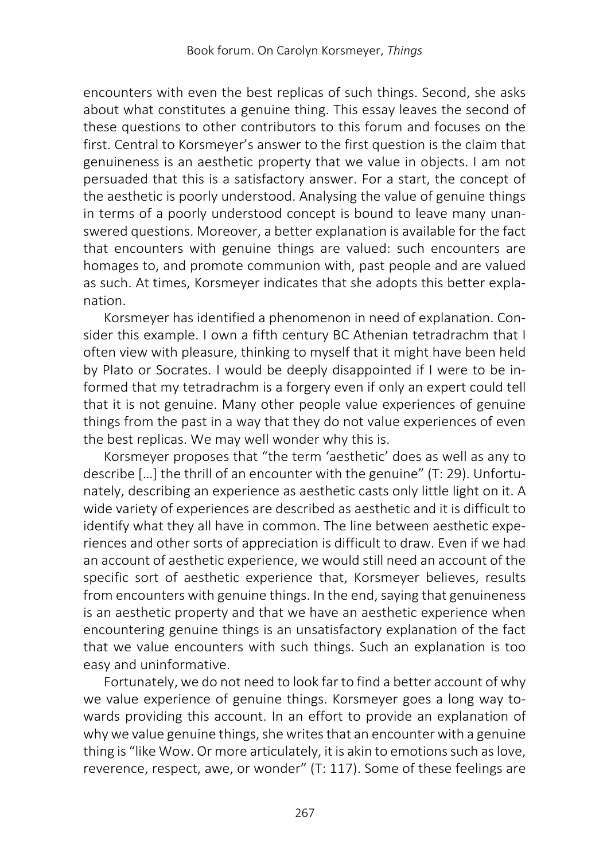encounters with even the best replicas of such things. Second, she asks about what constitutes a genuine thing. This essay leaves the second of these questions to other contributors to this forum and focuses on the first. Central to Korsmeyer's answer to the first question is the claim that genuineness is an aesthetic property that we value in objects. I am not persuaded that this is a satisfactory answer. For a start, the concept of the aesthetic is poorly understood. Analysing the value of genuine things in terms of a poorly understood concept is bound to leave many unanswered questions. Moreover, a better explanation is available for the fact that encounters with genuine things are valued: such encounters are homages to, and promote communion with, past people and are valued as such. At times, Korsmeyer indicates that she adopts this better explanation.

Korsmeyer has identified a phenomenon in need of explanation. Consider this example. I own a fifth century BC Athenian tetradrachm that I often view with pleasure, thinking to myself that it might have been held by Plato or Socrates. I would be deeply disappointed if I were to be informed that my tetradrachm is a forgery even if only an expert could tell that it is not genuine. Many other people value experiences of genuine things from the past in a way that they do not value experiences of even the best replicas. We may well wonder why this is.

Korsmeyer proposes that "the term 'aesthetic' does as well as any to describe […] the thrill of an encounter with the genuine" (T: 29). Unfortunately, describing an experience as aesthetic casts only little light on it. A wide variety of experiences are described as aesthetic and it is difficult to identify what they all have in common. The line between aesthetic experiences and other sorts of appreciation is difficult to draw. Even if we had an account of aesthetic experience, we would still need an account of the specific sort of aesthetic experience that, Korsmeyer believes, results from encounters with genuine things. In the end, saying that genuineness is an aesthetic property and that we have an aesthetic experience when encountering genuine things is an unsatisfactory explanation of the fact that we value encounters with such things. Such an explanation is too easy and uninformative.

Fortunately, we do not need to look far to find a better account of why we value experience of genuine things. Korsmeyer goes a long way towards providing this account. In an effort to provide an explanation of why we value genuine things, she writes that an encounter with a genuine thing is "like Wow. Or more articulately, it is akin to emotions such as love, reverence, respect, awe, or wonder" (T: 117). Some of these feelings are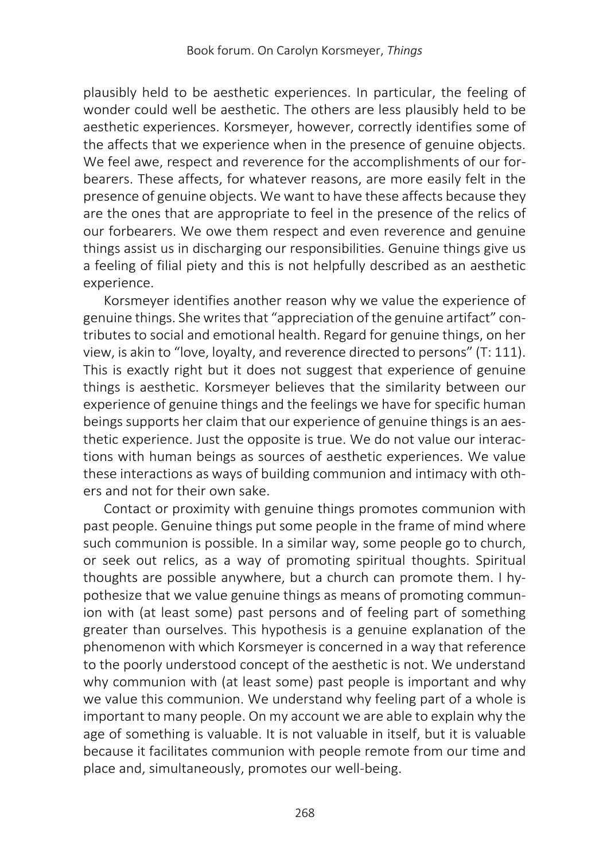plausibly held to be aesthetic experiences. In particular, the feeling of wonder could well be aesthetic. The others are less plausibly held to be aesthetic experiences. Korsmeyer, however, correctly identifies some of the affects that we experience when in the presence of genuine objects. We feel awe, respect and reverence for the accomplishments of our forbearers. These affects, for whatever reasons, are more easily felt in the presence of genuine objects. We want to have these affects because they are the ones that are appropriate to feel in the presence of the relics of our forbearers. We owe them respect and even reverence and genuine things assist us in discharging our responsibilities. Genuine things give us a feeling of filial piety and this is not helpfully described as an aesthetic experience.

Korsmeyer identifies another reason why we value the experience of genuine things. She writes that "appreciation of the genuine artifact" contributes to social and emotional health. Regard for genuine things, on her view, is akin to "love, loyalty, and reverence directed to persons" (T: 111). This is exactly right but it does not suggest that experience of genuine things is aesthetic. Korsmeyer believes that the similarity between our experience of genuine things and the feelings we have for specific human beings supports her claim that our experience of genuine things is an aesthetic experience. Just the opposite is true. We do not value our interactions with human beings as sources of aesthetic experiences. We value these interactions as ways of building communion and intimacy with others and not for their own sake.

Contact or proximity with genuine things promotes communion with past people. Genuine things put some people in the frame of mind where such communion is possible. In a similar way, some people go to church, or seek out relics, as a way of promoting spiritual thoughts. Spiritual thoughts are possible anywhere, but a church can promote them. I hypothesize that we value genuine things as means of promoting communion with (at least some) past persons and of feeling part of something greater than ourselves. This hypothesis is a genuine explanation of the phenomenon with which Korsmeyer is concerned in a way that reference to the poorly understood concept of the aesthetic is not. We understand why communion with (at least some) past people is important and why we value this communion. We understand why feeling part of a whole is important to many people. On my account we are able to explain why the age of something is valuable. It is not valuable in itself, but it is valuable because it facilitates communion with people remote from our time and place and, simultaneously, promotes our well-being.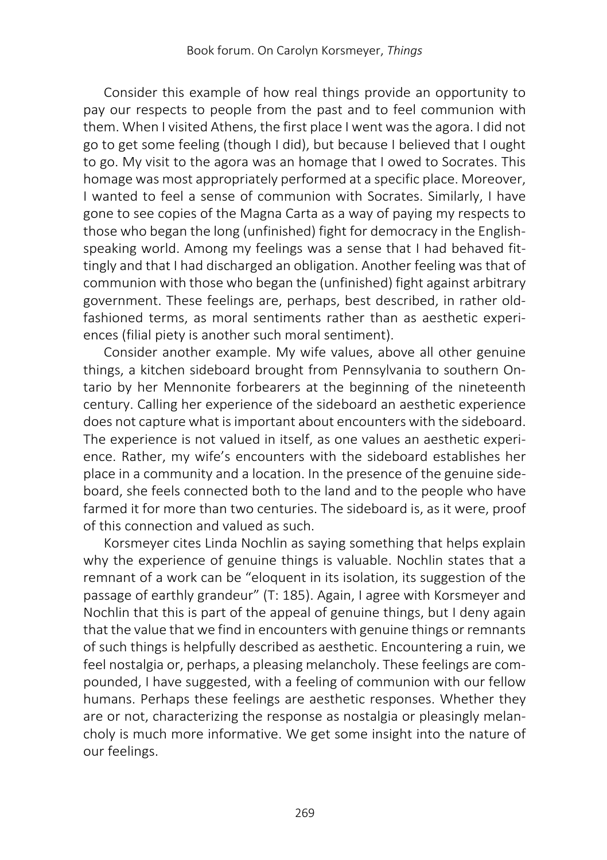Consider this example of how real things provide an opportunity to pay our respects to people from the past and to feel communion with them. When I visited Athens, the first place I went was the agora. I did not go to get some feeling (though I did), but because I believed that I ought to go. My visit to the agora was an homage that I owed to Socrates. This homage was most appropriately performed at a specific place. Moreover, I wanted to feel a sense of communion with Socrates. Similarly, I have gone to see copies of the Magna Carta as a way of paying my respects to those who began the long (unfinished) fight for democracy in the Englishspeaking world. Among my feelings was a sense that I had behaved fittingly and that I had discharged an obligation. Another feeling was that of communion with those who began the (unfinished) fight against arbitrary government. These feelings are, perhaps, best described, in rather oldfashioned terms, as moral sentiments rather than as aesthetic experiences (filial piety is another such moral sentiment).

Consider another example. My wife values, above all other genuine things, a kitchen sideboard brought from Pennsylvania to southern Ontario by her Mennonite forbearers at the beginning of the nineteenth century. Calling her experience of the sideboard an aesthetic experience does not capture what is important about encounters with the sideboard. The experience is not valued in itself, as one values an aesthetic experience. Rather, my wife's encounters with the sideboard establishes her place in a community and a location. In the presence of the genuine sideboard, she feels connected both to the land and to the people who have farmed it for more than two centuries. The sideboard is, as it were, proof of this connection and valued as such.

Korsmeyer cites Linda Nochlin as saying something that helps explain why the experience of genuine things is valuable. Nochlin states that a remnant of a work can be "eloquent in its isolation, its suggestion of the passage of earthly grandeur" (T: 185). Again, I agree with Korsmeyer and Nochlin that this is part of the appeal of genuine things, but I deny again that the value that we find in encounters with genuine things or remnants of such things is helpfully described as aesthetic. Encountering a ruin, we feel nostalgia or, perhaps, a pleasing melancholy. These feelings are compounded, I have suggested, with a feeling of communion with our fellow humans. Perhaps these feelings are aesthetic responses. Whether they are or not, characterizing the response as nostalgia or pleasingly melancholy is much more informative. We get some insight into the nature of our feelings.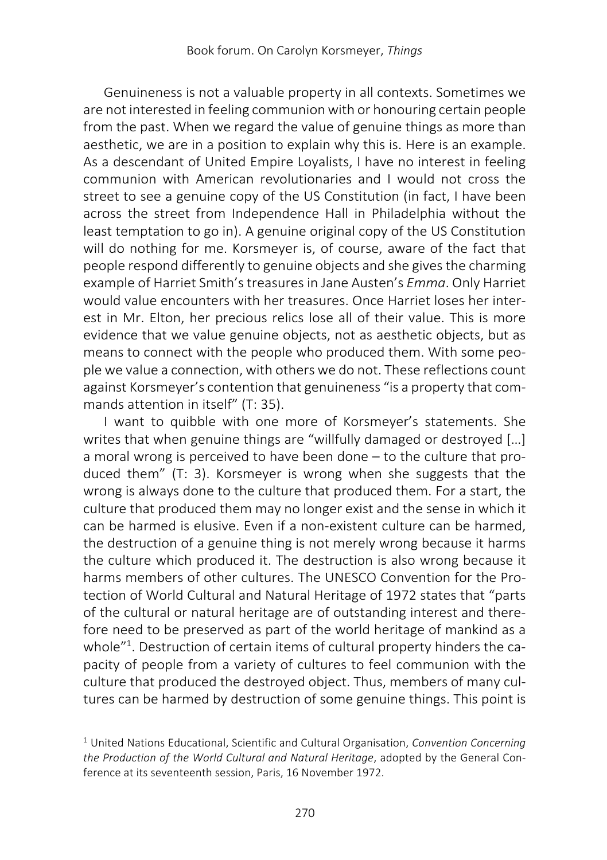Genuineness is not a valuable property in all contexts. Sometimes we are not interested in feeling communion with or honouring certain people from the past. When we regard the value of genuine things as more than aesthetic, we are in a position to explain why this is. Here is an example. As a descendant of United Empire Loyalists, I have no interest in feeling communion with American revolutionaries and I would not cross the street to see a genuine copy of the US Constitution (in fact, I have been across the street from Independence Hall in Philadelphia without the least temptation to go in). A genuine original copy of the US Constitution will do nothing for me. Korsmeyer is, of course, aware of the fact that people respond differently to genuine objects and she gives the charming example of Harriet Smith's treasures in Jane Austen's *Emma*. Only Harriet would value encounters with her treasures. Once Harriet loses her interest in Mr. Elton, her precious relics lose all of their value. This is more evidence that we value genuine objects, not as aesthetic objects, but as means to connect with the people who produced them. With some people we value a connection, with others we do not. These reflections count against Korsmeyer's contention that genuineness "is a property that commands attention in itself" (T: 35).

I want to quibble with one more of Korsmeyer's statements. She writes that when genuine things are "willfully damaged or destroyed […] a moral wrong is perceived to have been done – to the culture that produced them" (T: 3). Korsmeyer is wrong when she suggests that the wrong is always done to the culture that produced them. For a start, the culture that produced them may no longer exist and the sense in which it can be harmed is elusive. Even if a non-existent culture can be harmed, the destruction of a genuine thing is not merely wrong because it harms the culture which produced it. The destruction is also wrong because it harms members of other cultures. The UNESCO Convention for the Protection of World Cultural and Natural Heritage of 1972 states that "parts of the cultural or natural heritage are of outstanding interest and therefore need to be preserved as part of the world heritage of mankind as a whole"<sup>1</sup>. Destruction of certain items of cultural property hinders the capacity of people from a variety of cultures to feel communion with the culture that produced the destroyed object. Thus, members of many cultures can be harmed by destruction of some genuine things. This point is

<sup>1</sup> United Nations Educational, Scientific and Cultural Organisation, *Convention Concerning the Production of the World Cultural and Natural Heritage*, adopted by the General Conference at its seventeenth session, Paris, 16 November 1972.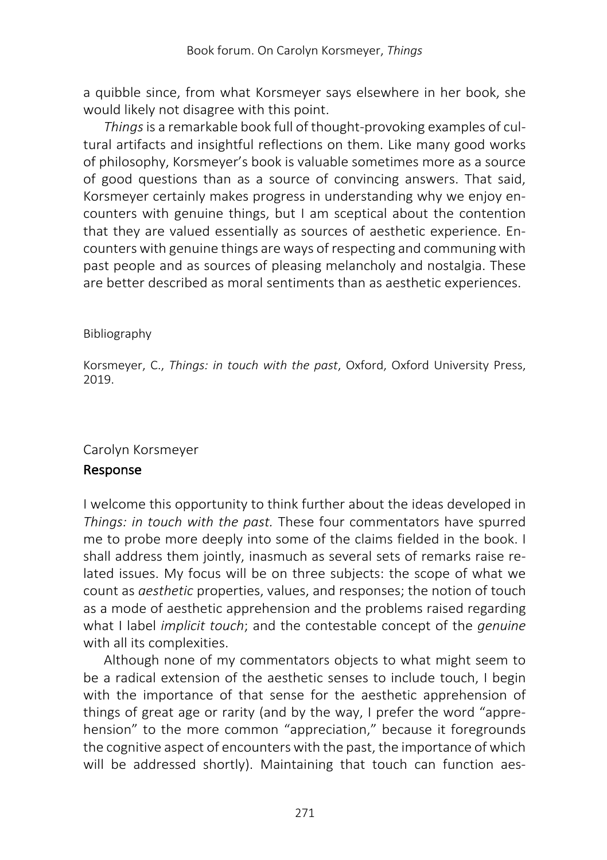a quibble since, from what Korsmeyer says elsewhere in her book, she would likely not disagree with this point.

*Things*is a remarkable book full of thought-provoking examples of cultural artifacts and insightful reflections on them. Like many good works of philosophy, Korsmeyer's book is valuable sometimes more as a source of good questions than as a source of convincing answers. That said, Korsmeyer certainly makes progress in understanding why we enjoy encounters with genuine things, but I am sceptical about the contention that they are valued essentially as sources of aesthetic experience. Encounters with genuine things are ways of respecting and communing with past people and as sources of pleasing melancholy and nostalgia. These are better described as moral sentiments than as aesthetic experiences.

#### Bibliography

Korsmeyer, C., *Things: in touch with the past*, Oxford, Oxford University Press, 2019.

## Carolyn Korsmeyer

## Response

I welcome this opportunity to think further about the ideas developed in *Things: in touch with the past.* These four commentators have spurred me to probe more deeply into some of the claims fielded in the book. I shall address them jointly, inasmuch as several sets of remarks raise related issues. My focus will be on three subjects: the scope of what we count as *aesthetic* properties, values, and responses; the notion of touch as a mode of aesthetic apprehension and the problems raised regarding what I label *implicit touch*; and the contestable concept of the *genuine* with all its complexities.

Although none of my commentators objects to what might seem to be a radical extension of the aesthetic senses to include touch, I begin with the importance of that sense for the aesthetic apprehension of things of great age or rarity (and by the way, I prefer the word "apprehension" to the more common "appreciation," because it foregrounds the cognitive aspect of encounters with the past, the importance of which will be addressed shortly). Maintaining that touch can function aes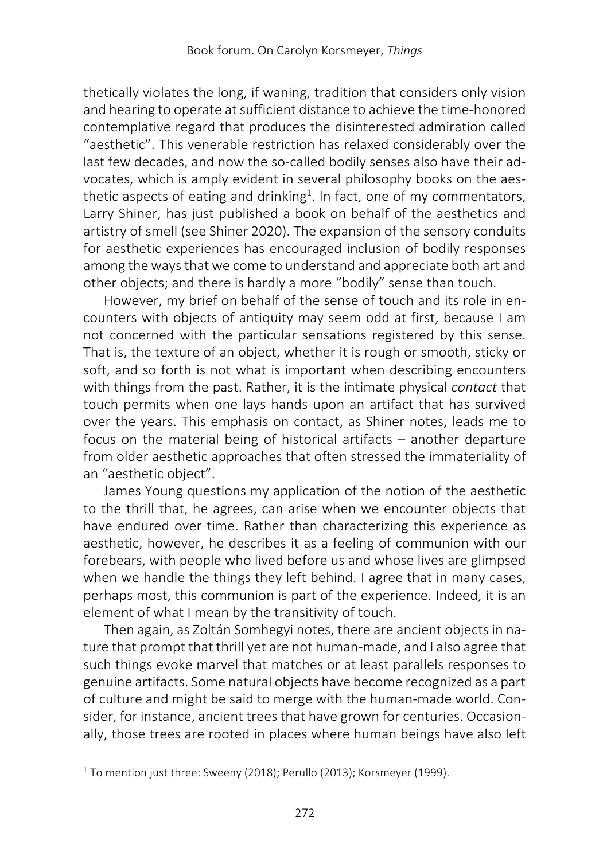thetically violates the long, if waning, tradition that considers only vision and hearing to operate at sufficient distance to achieve the time-honored contemplative regard that produces the disinterested admiration called "aesthetic". This venerable restriction has relaxed considerably over the last few decades, and now the so-called bodily senses also have their advocates, which is amply evident in several philosophy books on the aesthetic aspects of eating and drinking<sup>1</sup>. In fact, one of my commentators, Larry Shiner, has just published a book on behalf of the aesthetics and artistry of smell (see Shiner 2020). The expansion of the sensory conduits for aesthetic experiences has encouraged inclusion of bodily responses among the ways that we come to understand and appreciate both art and other objects; and there is hardly a more "bodily" sense than touch.

However, my brief on behalf of the sense of touch and its role in encounters with objects of antiquity may seem odd at first, because I am not concerned with the particular sensations registered by this sense. That is, the texture of an object, whether it is rough or smooth, sticky or soft, and so forth is not what is important when describing encounters with things from the past. Rather, it is the intimate physical *contact* that touch permits when one lays hands upon an artifact that has survived over the years. This emphasis on contact, as Shiner notes, leads me to focus on the material being of historical artifacts – another departure from older aesthetic approaches that often stressed the immateriality of an "aesthetic object".

James Young questions my application of the notion of the aesthetic to the thrill that, he agrees, can arise when we encounter objects that have endured over time. Rather than characterizing this experience as aesthetic, however, he describes it as a feeling of communion with our forebears, with people who lived before us and whose lives are glimpsed when we handle the things they left behind. I agree that in many cases, perhaps most, this communion is part of the experience. Indeed, it is an element of what I mean by the transitivity of touch.

Then again, as Zoltán Somhegyi notes, there are ancient objects in nature that prompt that thrill yet are not human-made, and I also agree that such things evoke marvel that matches or at least parallels responses to genuine artifacts. Some natural objects have become recognized as a part of culture and might be said to merge with the human-made world. Consider, for instance, ancient trees that have grown for centuries. Occasionally, those trees are rooted in places where human beings have also left

<sup>1</sup> To mention just three: Sweeny (2018); Perullo (2013); Korsmeyer (1999).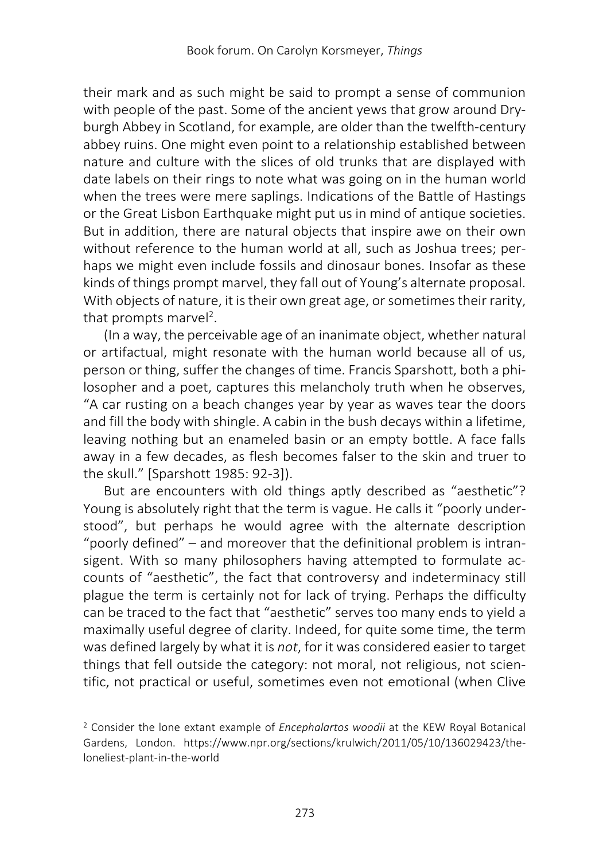their mark and as such might be said to prompt a sense of communion with people of the past. Some of the ancient yews that grow around Dryburgh Abbey in Scotland, for example, are older than the twelfth-century abbey ruins. One might even point to a relationship established between nature and culture with the slices of old trunks that are displayed with date labels on their rings to note what was going on in the human world when the trees were mere saplings. Indications of the Battle of Hastings or the Great Lisbon Earthquake might put us in mind of antique societies. But in addition, there are natural objects that inspire awe on their own without reference to the human world at all, such as Joshua trees; perhaps we might even include fossils and dinosaur bones. Insofar as these kinds of things prompt marvel, they fall out of Young's alternate proposal. With objects of nature, it is their own great age, or sometimes their rarity, that prompts marvel<sup>2</sup>.

(In a way, the perceivable age of an inanimate object, whether natural or artifactual, might resonate with the human world because all of us, person or thing, suffer the changes of time. Francis Sparshott, both a philosopher and a poet, captures this melancholy truth when he observes, "A car rusting on a beach changes year by year as waves tear the doors and fill the body with shingle. A cabin in the bush decays within a lifetime, leaving nothing but an enameled basin or an empty bottle. A face falls away in a few decades, as flesh becomes falser to the skin and truer to the skull." [Sparshott 1985: 92-3]).

But are encounters with old things aptly described as "aesthetic"? Young is absolutely right that the term is vague. He calls it "poorly understood", but perhaps he would agree with the alternate description "poorly defined" – and moreover that the definitional problem is intransigent. With so many philosophers having attempted to formulate accounts of "aesthetic", the fact that controversy and indeterminacy still plague the term is certainly not for lack of trying. Perhaps the difficulty can be traced to the fact that "aesthetic" serves too many ends to yield a maximally useful degree of clarity. Indeed, for quite some time, the term was defined largely by what it is *not*, for it was considered easier to target things that fell outside the category: not moral, not religious, not scientific, not practical or useful, sometimes even not emotional (when Clive

<sup>2</sup> Consider the lone extant example of *Encephalartos woodii* at the KEW Royal Botanical Gardens, London. https://www.npr.org/sections/krulwich/2011/05/10/136029423/theloneliest-plant-in-the-world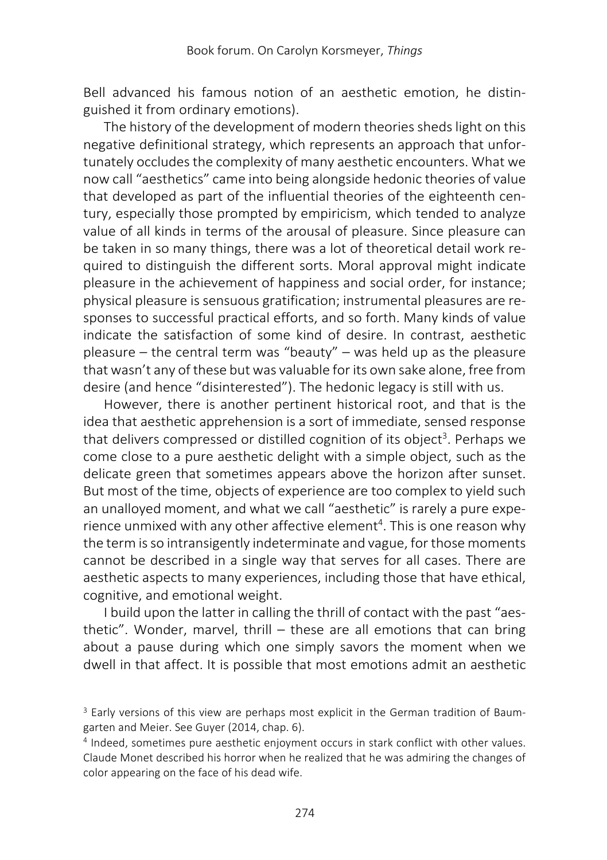Bell advanced his famous notion of an aesthetic emotion, he distinguished it from ordinary emotions).

The history of the development of modern theories sheds light on this negative definitional strategy, which represents an approach that unfortunately occludes the complexity of many aesthetic encounters. What we now call "aesthetics" came into being alongside hedonic theories of value that developed as part of the influential theories of the eighteenth century, especially those prompted by empiricism, which tended to analyze value of all kinds in terms of the arousal of pleasure. Since pleasure can be taken in so many things, there was a lot of theoretical detail work required to distinguish the different sorts. Moral approval might indicate pleasure in the achievement of happiness and social order, for instance; physical pleasure is sensuous gratification; instrumental pleasures are responses to successful practical efforts, and so forth. Many kinds of value indicate the satisfaction of some kind of desire. In contrast, aesthetic pleasure – the central term was "beauty" – was held up as the pleasure that wasn't any of these but was valuable for its own sake alone, free from desire (and hence "disinterested"). The hedonic legacy is still with us.

However, there is another pertinent historical root, and that is the idea that aesthetic apprehension is a sort of immediate, sensed response that delivers compressed or distilled cognition of its object<sup>3</sup>. Perhaps we come close to a pure aesthetic delight with a simple object, such as the delicate green that sometimes appears above the horizon after sunset. But most of the time, objects of experience are too complex to yield such an unalloyed moment, and what we call "aesthetic" is rarely a pure experience unmixed with any other affective element<sup>4</sup>. This is one reason why the term is so intransigently indeterminate and vague, for those moments cannot be described in a single way that serves for all cases. There are aesthetic aspects to many experiences, including those that have ethical, cognitive, and emotional weight.

I build upon the latter in calling the thrill of contact with the past "aesthetic". Wonder, marvel, thrill – these are all emotions that can bring about a pause during which one simply savors the moment when we dwell in that affect. It is possible that most emotions admit an aesthetic

<sup>&</sup>lt;sup>3</sup> Early versions of this view are perhaps most explicit in the German tradition of Baumgarten and Meier. See Guyer (2014, chap. 6).

<sup>4</sup> Indeed, sometimes pure aesthetic enjoyment occurs in stark conflict with other values. Claude Monet described his horror when he realized that he was admiring the changes of color appearing on the face of his dead wife.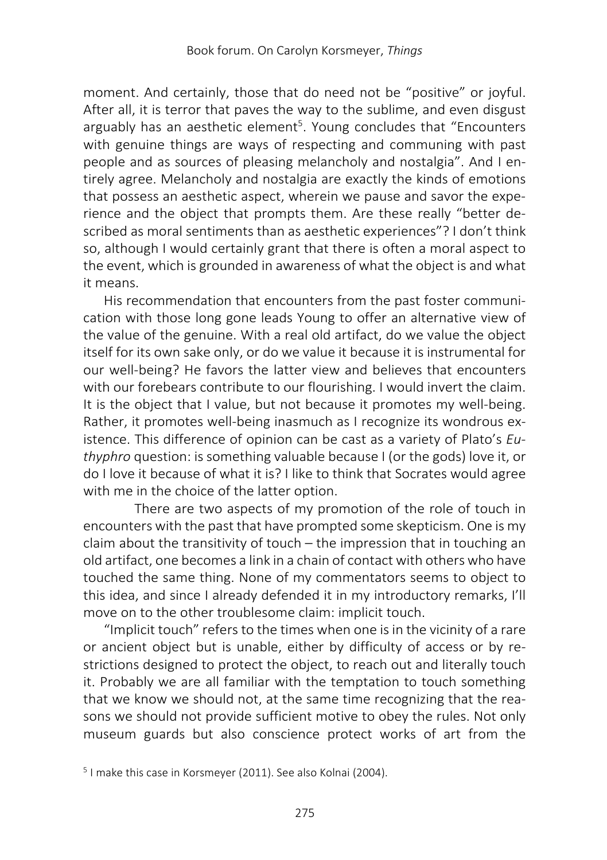moment. And certainly, those that do need not be "positive" or joyful. After all, it is terror that paves the way to the sublime, and even disgust arguably has an aesthetic element<sup>5</sup>. Young concludes that "Encounters with genuine things are ways of respecting and communing with past people and as sources of pleasing melancholy and nostalgia". And I entirely agree. Melancholy and nostalgia are exactly the kinds of emotions that possess an aesthetic aspect, wherein we pause and savor the experience and the object that prompts them. Are these really "better described as moral sentiments than as aesthetic experiences"? I don't think so, although I would certainly grant that there is often a moral aspect to the event, which is grounded in awareness of what the object is and what it means.

His recommendation that encounters from the past foster communication with those long gone leads Young to offer an alternative view of the value of the genuine. With a real old artifact, do we value the object itself for its own sake only, or do we value it because it is instrumental for our well-being? He favors the latter view and believes that encounters with our forebears contribute to our flourishing. I would invert the claim. It is the object that I value, but not because it promotes my well-being. Rather, it promotes well-being inasmuch as I recognize its wondrous existence. This difference of opinion can be cast as a variety of Plato's *Euthyphro* question: is something valuable because I (or the gods) love it, or do I love it because of what it is? I like to think that Socrates would agree with me in the choice of the latter option.

There are two aspects of my promotion of the role of touch in encounters with the past that have prompted some skepticism. One is my claim about the transitivity of touch – the impression that in touching an old artifact, one becomes a link in a chain of contact with others who have touched the same thing. None of my commentators seems to object to this idea, and since I already defended it in my introductory remarks, I'll move on to the other troublesome claim: implicit touch.

"Implicit touch" refers to the times when one is in the vicinity of a rare or ancient object but is unable, either by difficulty of access or by restrictions designed to protect the object, to reach out and literally touch it. Probably we are all familiar with the temptation to touch something that we know we should not, at the same time recognizing that the reasons we should not provide sufficient motive to obey the rules. Not only museum guards but also conscience protect works of art from the

<sup>5</sup> I make this case in Korsmeyer (2011). See also Kolnai (2004).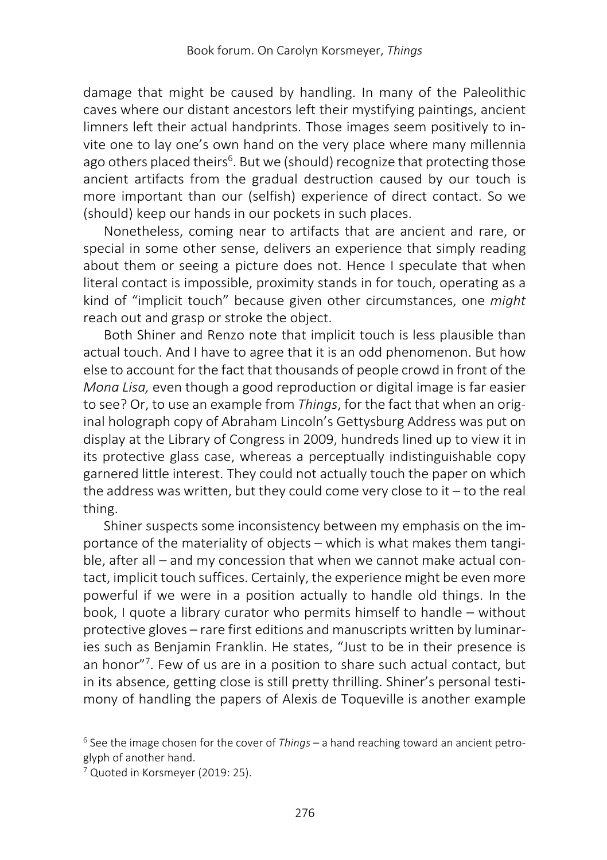damage that might be caused by handling. In many of the Paleolithic caves where our distant ancestors left their mystifying paintings, ancient limners left their actual handprints. Those images seem positively to invite one to lay one's own hand on the very place where many millennia ago others placed theirs<sup>6</sup>. But we (should) recognize that protecting those ancient artifacts from the gradual destruction caused by our touch is more important than our (selfish) experience of direct contact. So we (should) keep our hands in our pockets in such places.

Nonetheless, coming near to artifacts that are ancient and rare, or special in some other sense, delivers an experience that simply reading about them or seeing a picture does not. Hence I speculate that when literal contact is impossible, proximity stands in for touch, operating as a kind of "implicit touch" because given other circumstances, one *might* reach out and grasp or stroke the object.

Both Shiner and Renzo note that implicit touch is less plausible than actual touch. And I have to agree that it is an odd phenomenon. But how else to account for the fact that thousands of people crowd in front of the *Mona Lisa,* even though a good reproduction or digital image is far easier to see? Or, to use an example from *Things*, for the fact that when an original holograph copy of Abraham Lincoln's Gettysburg Address was put on display at the Library of Congress in 2009, hundreds lined up to view it in its protective glass case, whereas a perceptually indistinguishable copy garnered little interest. They could not actually touch the paper on which the address was written, but they could come very close to it  $-$  to the real thing.

Shiner suspects some inconsistency between my emphasis on the importance of the materiality of objects – which is what makes them tangible, after all – and my concession that when we cannot make actual contact, implicit touch suffices. Certainly, the experience might be even more powerful if we were in a position actually to handle old things. In the book, I quote a library curator who permits himself to handle – without protective gloves – rare first editions and manuscripts written by luminaries such as Benjamin Franklin. He states, "Just to be in their presence is an honor"<sup>7</sup>. Few of us are in a position to share such actual contact, but in its absence, getting close is still pretty thrilling. Shiner's personal testimony of handling the papers of Alexis de Toqueville is another example

<sup>6</sup> See the image chosen for the cover of *Things* – a hand reaching toward an ancient petroglyph of another hand.

<sup>7</sup> Quoted in Korsmeyer (2019: 25).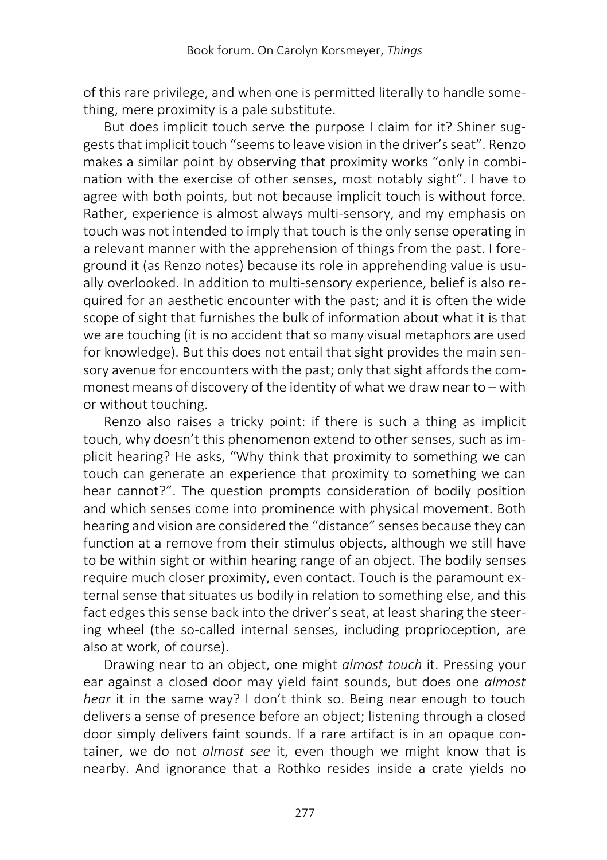of this rare privilege, and when one is permitted literally to handle something, mere proximity is a pale substitute.

But does implicit touch serve the purpose I claim for it? Shiner suggests that implicit touch "seems to leave vision in the driver's seat". Renzo makes a similar point by observing that proximity works "only in combination with the exercise of other senses, most notably sight". I have to agree with both points, but not because implicit touch is without force. Rather, experience is almost always multi-sensory, and my emphasis on touch was not intended to imply that touch is the only sense operating in a relevant manner with the apprehension of things from the past. I foreground it (as Renzo notes) because its role in apprehending value is usually overlooked. In addition to multi-sensory experience, belief is also required for an aesthetic encounter with the past; and it is often the wide scope of sight that furnishes the bulk of information about what it is that we are touching (it is no accident that so many visual metaphors are used for knowledge). But this does not entail that sight provides the main sensory avenue for encounters with the past; only that sight affords the commonest means of discovery of the identity of what we draw near to – with or without touching.

Renzo also raises a tricky point: if there is such a thing as implicit touch, why doesn't this phenomenon extend to other senses, such as implicit hearing? He asks, "Why think that proximity to something we can touch can generate an experience that proximity to something we can hear cannot?". The question prompts consideration of bodily position and which senses come into prominence with physical movement. Both hearing and vision are considered the "distance" senses because they can function at a remove from their stimulus objects, although we still have to be within sight or within hearing range of an object. The bodily senses require much closer proximity, even contact. Touch is the paramount external sense that situates us bodily in relation to something else, and this fact edges this sense back into the driver's seat, at least sharing the steering wheel (the so-called internal senses, including proprioception, are also at work, of course).

Drawing near to an object, one might *almost touch* it. Pressing your ear against a closed door may yield faint sounds, but does one *almost hear* it in the same way? I don't think so. Being near enough to touch delivers a sense of presence before an object; listening through a closed door simply delivers faint sounds. If a rare artifact is in an opaque container, we do not *almost see* it, even though we might know that is nearby. And ignorance that a Rothko resides inside a crate yields no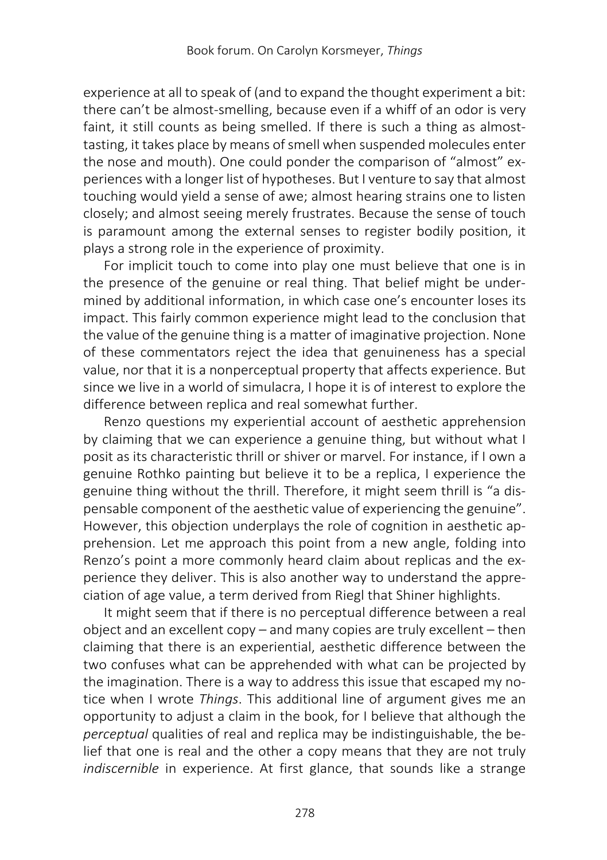experience at all to speak of (and to expand the thought experiment a bit: there can't be almost-smelling, because even if a whiff of an odor is very faint, it still counts as being smelled. If there is such a thing as almosttasting, it takes place by means of smell when suspended molecules enter the nose and mouth). One could ponder the comparison of "almost" experiences with a longer list of hypotheses. But I venture to say that almost touching would yield a sense of awe; almost hearing strains one to listen closely; and almost seeing merely frustrates. Because the sense of touch is paramount among the external senses to register bodily position, it plays a strong role in the experience of proximity.

For implicit touch to come into play one must believe that one is in the presence of the genuine or real thing. That belief might be undermined by additional information, in which case one's encounter loses its impact. This fairly common experience might lead to the conclusion that the value of the genuine thing is a matter of imaginative projection. None of these commentators reject the idea that genuineness has a special value, nor that it is a nonperceptual property that affects experience. But since we live in a world of simulacra, I hope it is of interest to explore the difference between replica and real somewhat further.

Renzo questions my experiential account of aesthetic apprehension by claiming that we can experience a genuine thing, but without what I posit as its characteristic thrill or shiver or marvel. For instance, if I own a genuine Rothko painting but believe it to be a replica, I experience the genuine thing without the thrill. Therefore, it might seem thrill is "a dispensable component of the aesthetic value of experiencing the genuine". However, this objection underplays the role of cognition in aesthetic apprehension. Let me approach this point from a new angle, folding into Renzo's point a more commonly heard claim about replicas and the experience they deliver. This is also another way to understand the appreciation of age value, a term derived from Riegl that Shiner highlights.

It might seem that if there is no perceptual difference between a real object and an excellent copy – and many copies are truly excellent – then claiming that there is an experiential, aesthetic difference between the two confuses what can be apprehended with what can be projected by the imagination. There is a way to address this issue that escaped my notice when I wrote *Things*. This additional line of argument gives me an opportunity to adjust a claim in the book, for I believe that although the *perceptual* qualities of real and replica may be indistinguishable, the belief that one is real and the other a copy means that they are not truly *indiscernible* in experience. At first glance, that sounds like a strange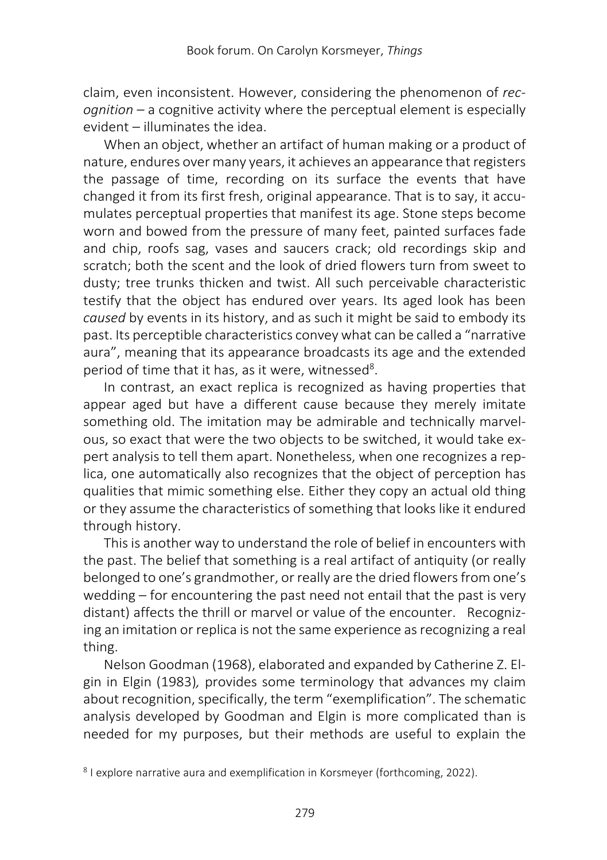claim, even inconsistent. However, considering the phenomenon of *recognition* – a cognitive activity where the perceptual element is especially evident – illuminates the idea.

When an object, whether an artifact of human making or a product of nature, endures over many years, it achieves an appearance that registers the passage of time, recording on its surface the events that have changed it from its first fresh, original appearance. That is to say, it accumulates perceptual properties that manifest its age. Stone steps become worn and bowed from the pressure of many feet, painted surfaces fade and chip, roofs sag, vases and saucers crack; old recordings skip and scratch; both the scent and the look of dried flowers turn from sweet to dusty; tree trunks thicken and twist. All such perceivable characteristic testify that the object has endured over years. Its aged look has been *caused* by events in its history, and as such it might be said to embody its past. Its perceptible characteristics convey what can be called a "narrative aura", meaning that its appearance broadcasts its age and the extended period of time that it has, as it were, witnessed<sup>8</sup>.

In contrast, an exact replica is recognized as having properties that appear aged but have a different cause because they merely imitate something old. The imitation may be admirable and technically marvelous, so exact that were the two objects to be switched, it would take expert analysis to tell them apart. Nonetheless, when one recognizes a replica, one automatically also recognizes that the object of perception has qualities that mimic something else. Either they copy an actual old thing or they assume the characteristics of something that looks like it endured through history.

This is another way to understand the role of belief in encounters with the past. The belief that something is a real artifact of antiquity (or really belonged to one's grandmother, or really are the dried flowers from one's wedding – for encountering the past need not entail that the past is very distant) affects the thrill or marvel or value of the encounter. Recognizing an imitation or replica is not the same experience as recognizing a real thing.

Nelson Goodman (1968), elaborated and expanded by Catherine Z. Elgin in Elgin (1983)*,* provides some terminology that advances my claim about recognition, specifically, the term "exemplification". The schematic analysis developed by Goodman and Elgin is more complicated than is needed for my purposes, but their methods are useful to explain the

<sup>8</sup> I explore narrative aura and exemplification in Korsmeyer (forthcoming, 2022).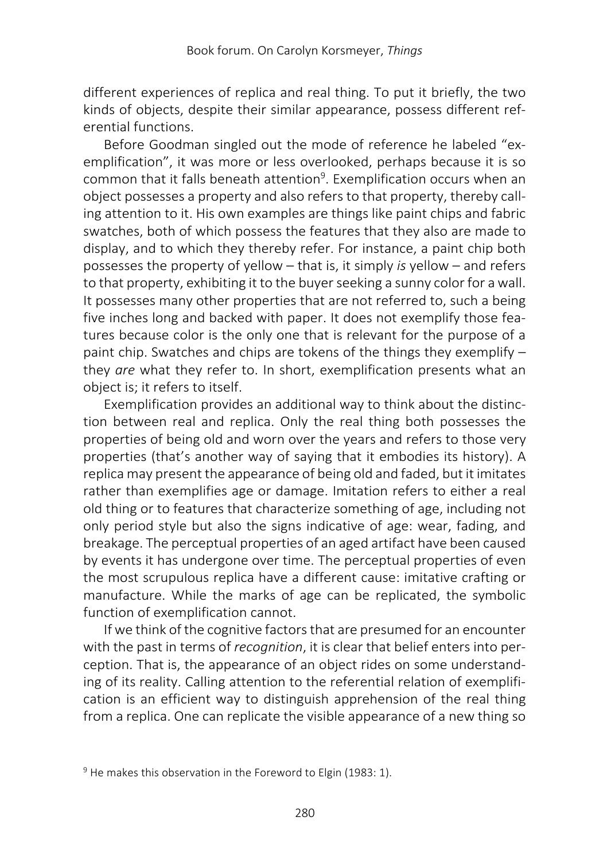different experiences of replica and real thing. To put it briefly, the two kinds of objects, despite their similar appearance, possess different referential functions.

Before Goodman singled out the mode of reference he labeled "exemplification", it was more or less overlooked, perhaps because it is so common that it falls beneath attention<sup>9</sup>. Exemplification occurs when an object possesses a property and also refers to that property, thereby calling attention to it. His own examples are things like paint chips and fabric swatches, both of which possess the features that they also are made to display, and to which they thereby refer. For instance, a paint chip both possesses the property of yellow – that is, it simply *is* yellow – and refers to that property, exhibiting it to the buyer seeking a sunny color for a wall. It possesses many other properties that are not referred to, such a being five inches long and backed with paper. It does not exemplify those features because color is the only one that is relevant for the purpose of a paint chip. Swatches and chips are tokens of the things they exemplify – they *are* what they refer to. In short, exemplification presents what an object is; it refers to itself.

Exemplification provides an additional way to think about the distinction between real and replica. Only the real thing both possesses the properties of being old and worn over the years and refers to those very properties (that's another way of saying that it embodies its history). A replica may present the appearance of being old and faded, but it imitates rather than exemplifies age or damage. Imitation refers to either a real old thing or to features that characterize something of age, including not only period style but also the signs indicative of age: wear, fading, and breakage. The perceptual properties of an aged artifact have been caused by events it has undergone over time. The perceptual properties of even the most scrupulous replica have a different cause: imitative crafting or manufacture. While the marks of age can be replicated, the symbolic function of exemplification cannot.

If we think of the cognitive factors that are presumed for an encounter with the past in terms of *recognition*, it is clear that belief enters into perception. That is, the appearance of an object rides on some understanding of its reality. Calling attention to the referential relation of exemplification is an efficient way to distinguish apprehension of the real thing from a replica. One can replicate the visible appearance of a new thing so

<sup>9</sup> He makes this observation in the Foreword to Elgin (1983: 1).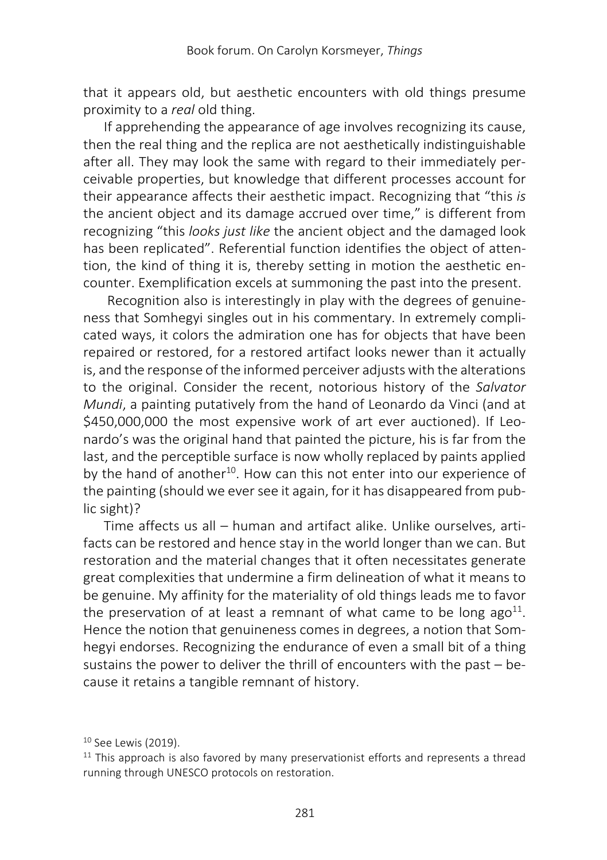that it appears old, but aesthetic encounters with old things presume proximity to a *real* old thing.

If apprehending the appearance of age involves recognizing its cause, then the real thing and the replica are not aesthetically indistinguishable after all. They may look the same with regard to their immediately perceivable properties, but knowledge that different processes account for their appearance affects their aesthetic impact. Recognizing that "this *is*  the ancient object and its damage accrued over time," is different from recognizing "this *looks just like* the ancient object and the damaged look has been replicated". Referential function identifies the object of attention, the kind of thing it is, thereby setting in motion the aesthetic encounter. Exemplification excels at summoning the past into the present.

Recognition also is interestingly in play with the degrees of genuineness that Somhegyi singles out in his commentary. In extremely complicated ways, it colors the admiration one has for objects that have been repaired or restored, for a restored artifact looks newer than it actually is, and the response of the informed perceiver adjusts with the alterations to the original. Consider the recent, notorious history of the *Salvator Mundi*, a painting putatively from the hand of Leonardo da Vinci (and at \$450,000,000 the most expensive work of art ever auctioned). If Leonardo's was the original hand that painted the picture, his is far from the last, and the perceptible surface is now wholly replaced by paints applied by the hand of another<sup>10</sup>. How can this not enter into our experience of the painting (should we ever see it again, for it has disappeared from public sight)?

Time affects us all – human and artifact alike. Unlike ourselves, artifacts can be restored and hence stay in the world longer than we can. But restoration and the material changes that it often necessitates generate great complexities that undermine a firm delineation of what it means to be genuine. My affinity for the materiality of old things leads me to favor the preservation of at least a remnant of what came to be long ago<sup>11</sup>. Hence the notion that genuineness comes in degrees, a notion that Somhegyi endorses. Recognizing the endurance of even a small bit of a thing sustains the power to deliver the thrill of encounters with the past – because it retains a tangible remnant of history.

<sup>10</sup> See Lewis (2019).

 $11$  This approach is also favored by many preservationist efforts and represents a thread running through UNESCO protocols on restoration.